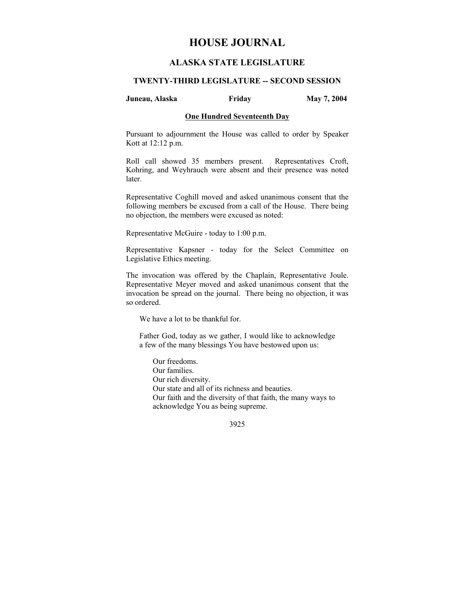# **HOUSE JOURNAL**

# **ALASKA STATE LEGISLATURE**

## **TWENTY-THIRD LEGISLATURE -- SECOND SESSION**

#### **Juneau, Alaska Friday May 7, 2004**

### **One Hundred Seventeenth Day**

Pursuant to adjournment the House was called to order by Speaker Kott at 12:12 p.m.

Roll call showed 35 members present. Representatives Croft, Kohring, and Weyhrauch were absent and their presence was noted later.

Representative Coghill moved and asked unanimous consent that the following members be excused from a call of the House. There being no objection, the members were excused as noted:

Representative McGuire - today to 1:00 p.m.

Representative Kapsner - today for the Select Committee on Legislative Ethics meeting.

The invocation was offered by the Chaplain, Representative Joule. Representative Meyer moved and asked unanimous consent that the invocation be spread on the journal. There being no objection, it was so ordered.

We have a lot to be thankful for.

Father God, today as we gather, I would like to acknowledge a few of the many blessings You have bestowed upon us:

Our freedoms. Our families. Our rich diversity. Our state and all of its richness and beauties. Our faith and the diversity of that faith, the many ways to acknowledge You as being supreme.

3925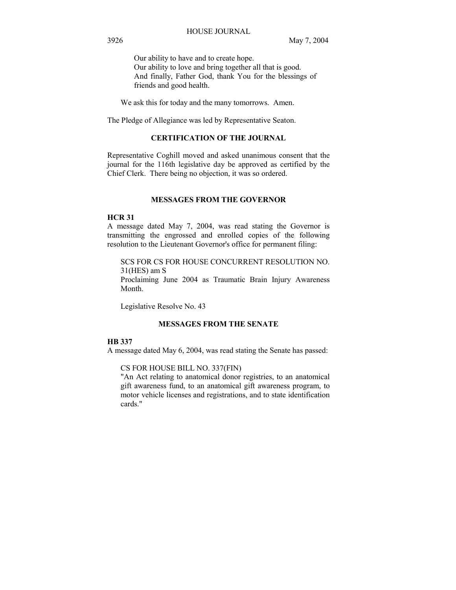Our ability to have and to create hope. Our ability to love and bring together all that is good. And finally, Father God, thank You for the blessings of friends and good health.

We ask this for today and the many tomorrows. Amen.

The Pledge of Allegiance was led by Representative Seaton.

## **CERTIFICATION OF THE JOURNAL**

Representative Coghill moved and asked unanimous consent that the journal for the 116th legislative day be approved as certified by the Chief Clerk. There being no objection, it was so ordered.

## **MESSAGES FROM THE GOVERNOR**

## **HCR 31**

A message dated May 7, 2004, was read stating the Governor is transmitting the engrossed and enrolled copies of the following resolution to the Lieutenant Governor's office for permanent filing:

SCS FOR CS FOR HOUSE CONCURRENT RESOLUTION NO. 31(HES) am S Proclaiming June 2004 as Traumatic Brain Injury Awareness Month.

Legislative Resolve No. 43

## **MESSAGES FROM THE SENATE**

#### **HB 337**

A message dated May 6, 2004, was read stating the Senate has passed:

CS FOR HOUSE BILL NO. 337(FIN)

"An Act relating to anatomical donor registries, to an anatomical gift awareness fund, to an anatomical gift awareness program, to motor vehicle licenses and registrations, and to state identification cards."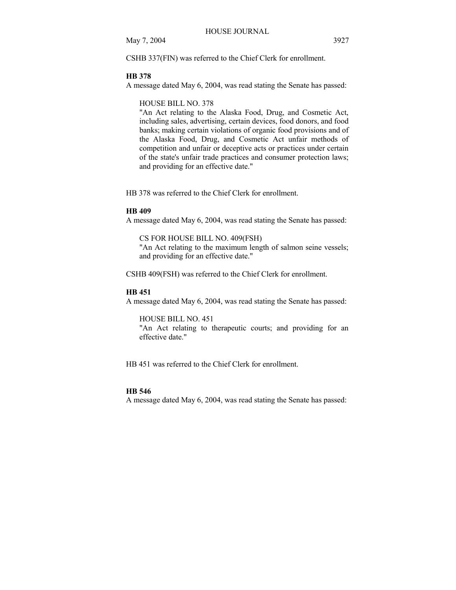CSHB 337(FIN) was referred to the Chief Clerk for enrollment.

#### **HB 378**

A message dated May 6, 2004, was read stating the Senate has passed:

HOUSE BILL NO. 378

"An Act relating to the Alaska Food, Drug, and Cosmetic Act, including sales, advertising, certain devices, food donors, and food banks; making certain violations of organic food provisions and of the Alaska Food, Drug, and Cosmetic Act unfair methods of competition and unfair or deceptive acts or practices under certain of the state's unfair trade practices and consumer protection laws; and providing for an effective date."

HB 378 was referred to the Chief Clerk for enrollment.

#### **HB 409**

A message dated May 6, 2004, was read stating the Senate has passed:

CS FOR HOUSE BILL NO. 409(FSH) "An Act relating to the maximum length of salmon seine vessels; and providing for an effective date."

CSHB 409(FSH) was referred to the Chief Clerk for enrollment.

## **HB 451**

A message dated May 6, 2004, was read stating the Senate has passed:

HOUSE BILL NO. 451

"An Act relating to therapeutic courts; and providing for an effective date."

HB 451 was referred to the Chief Clerk for enrollment.

#### **HB 546**

A message dated May 6, 2004, was read stating the Senate has passed: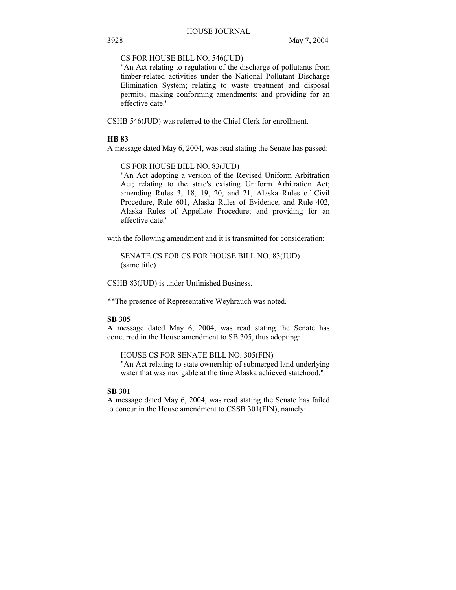CS FOR HOUSE BILL NO. 546(JUD)

"An Act relating to regulation of the discharge of pollutants from timber-related activities under the National Pollutant Discharge Elimination System; relating to waste treatment and disposal permits; making conforming amendments; and providing for an effective date."

CSHB 546(JUD) was referred to the Chief Clerk for enrollment.

## **HB 83**

A message dated May 6, 2004, was read stating the Senate has passed:

## CS FOR HOUSE BILL NO. 83(JUD)

"An Act adopting a version of the Revised Uniform Arbitration Act; relating to the state's existing Uniform Arbitration Act; amending Rules 3, 18, 19, 20, and 21, Alaska Rules of Civil Procedure, Rule 601, Alaska Rules of Evidence, and Rule 402, Alaska Rules of Appellate Procedure; and providing for an effective date."

with the following amendment and it is transmitted for consideration:

SENATE CS FOR CS FOR HOUSE BILL NO. 83(JUD) (same title)

CSHB 83(JUD) is under Unfinished Business.

\*\*The presence of Representative Weyhrauch was noted.

#### **SB 305**

A message dated May 6, 2004, was read stating the Senate has concurred in the House amendment to SB 305, thus adopting:

HOUSE CS FOR SENATE BILL NO. 305(FIN)

"An Act relating to state ownership of submerged land underlying water that was navigable at the time Alaska achieved statehood."

#### **SB 301**

A message dated May 6, 2004, was read stating the Senate has failed to concur in the House amendment to CSSB 301(FIN), namely: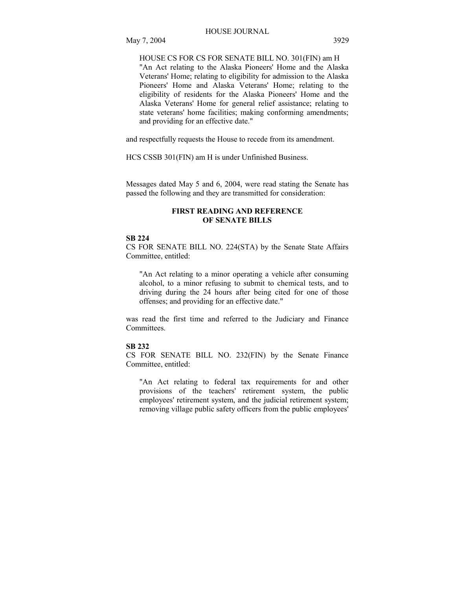HOUSE CS FOR CS FOR SENATE BILL NO. 301(FIN) am H "An Act relating to the Alaska Pioneers' Home and the Alaska Veterans' Home; relating to eligibility for admission to the Alaska Pioneers' Home and Alaska Veterans' Home; relating to the eligibility of residents for the Alaska Pioneers' Home and the Alaska Veterans' Home for general relief assistance; relating to state veterans' home facilities; making conforming amendments; and providing for an effective date."

and respectfully requests the House to recede from its amendment.

HCS CSSB 301(FIN) am H is under Unfinished Business.

Messages dated May 5 and 6, 2004, were read stating the Senate has passed the following and they are transmitted for consideration:

## **FIRST READING AND REFERENCE OF SENATE BILLS**

#### **SB 224**

CS FOR SENATE BILL NO. 224(STA) by the Senate State Affairs Committee, entitled:

"An Act relating to a minor operating a vehicle after consuming alcohol, to a minor refusing to submit to chemical tests, and to driving during the 24 hours after being cited for one of those offenses; and providing for an effective date."

was read the first time and referred to the Judiciary and Finance Committees.

## **SB 232**

CS FOR SENATE BILL NO. 232(FIN) by the Senate Finance Committee, entitled:

"An Act relating to federal tax requirements for and other provisions of the teachers' retirement system, the public employees' retirement system, and the judicial retirement system; removing village public safety officers from the public employees'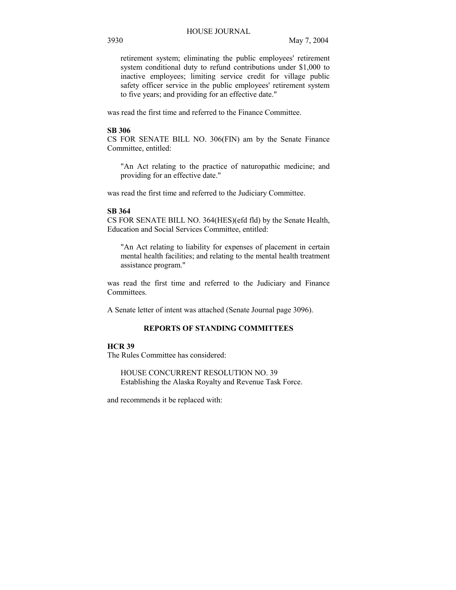retirement system; eliminating the public employees' retirement system conditional duty to refund contributions under \$1,000 to inactive employees; limiting service credit for village public safety officer service in the public employees' retirement system to five years; and providing for an effective date."

was read the first time and referred to the Finance Committee.

#### **SB 306**

CS FOR SENATE BILL NO. 306(FIN) am by the Senate Finance Committee, entitled:

"An Act relating to the practice of naturopathic medicine; and providing for an effective date."

was read the first time and referred to the Judiciary Committee.

## **SB 364**

CS FOR SENATE BILL NO. 364(HES)(efd fld) by the Senate Health, Education and Social Services Committee, entitled:

"An Act relating to liability for expenses of placement in certain mental health facilities; and relating to the mental health treatment assistance program."

was read the first time and referred to the Judiciary and Finance Committees.

A Senate letter of intent was attached (Senate Journal page 3096).

# **REPORTS OF STANDING COMMITTEES**

## **HCR 39**

The Rules Committee has considered:

HOUSE CONCURRENT RESOLUTION NO. 39 Establishing the Alaska Royalty and Revenue Task Force.

and recommends it be replaced with: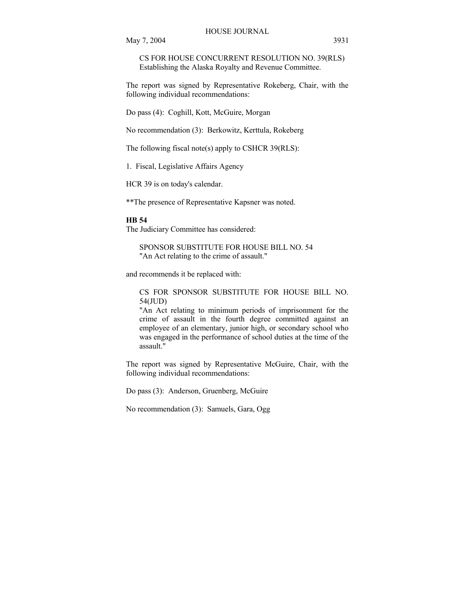CS FOR HOUSE CONCURRENT RESOLUTION NO. 39(RLS) Establishing the Alaska Royalty and Revenue Committee.

The report was signed by Representative Rokeberg, Chair, with the following individual recommendations:

Do pass (4): Coghill, Kott, McGuire, Morgan

No recommendation (3): Berkowitz, Kerttula, Rokeberg

The following fiscal note(s) apply to CSHCR 39(RLS):

1. Fiscal, Legislative Affairs Agency

HCR 39 is on today's calendar.

\*\*The presence of Representative Kapsner was noted.

#### **HB 54**

The Judiciary Committee has considered:

SPONSOR SUBSTITUTE FOR HOUSE BILL NO. 54 "An Act relating to the crime of assault."

and recommends it be replaced with:

CS FOR SPONSOR SUBSTITUTE FOR HOUSE BILL NO. 54(JUD)

"An Act relating to minimum periods of imprisonment for the crime of assault in the fourth degree committed against an employee of an elementary, junior high, or secondary school who was engaged in the performance of school duties at the time of the assault."

The report was signed by Representative McGuire, Chair, with the following individual recommendations:

Do pass (3): Anderson, Gruenberg, McGuire

No recommendation (3): Samuels, Gara, Ogg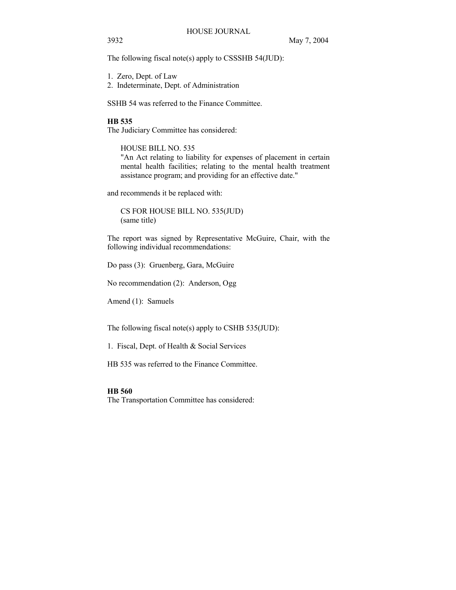The following fiscal note(s) apply to CSSSHB 54(JUD):

- 1. Zero, Dept. of Law
- 2. Indeterminate, Dept. of Administration

SSHB 54 was referred to the Finance Committee.

## **HB 535**

The Judiciary Committee has considered:

HOUSE BILL NO. 535

"An Act relating to liability for expenses of placement in certain mental health facilities; relating to the mental health treatment assistance program; and providing for an effective date."

and recommends it be replaced with:

CS FOR HOUSE BILL NO. 535(JUD) (same title)

The report was signed by Representative McGuire, Chair, with the following individual recommendations:

Do pass (3): Gruenberg, Gara, McGuire

No recommendation (2): Anderson, Ogg

Amend (1): Samuels

The following fiscal note(s) apply to CSHB 535(JUD):

1. Fiscal, Dept. of Health & Social Services

HB 535 was referred to the Finance Committee.

## **HB 560**

The Transportation Committee has considered: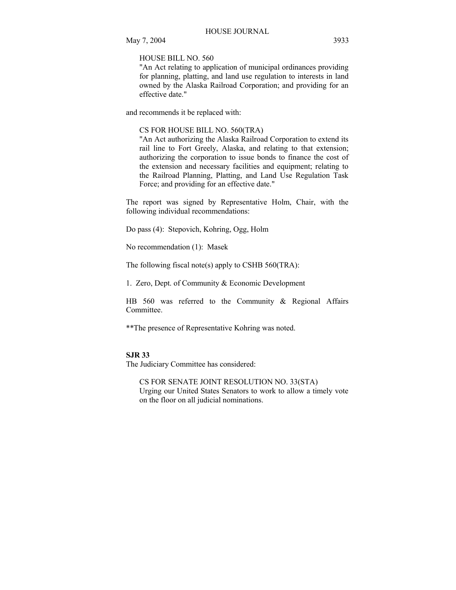HOUSE BILL NO. 560

"An Act relating to application of municipal ordinances providing for planning, platting, and land use regulation to interests in land owned by the Alaska Railroad Corporation; and providing for an effective date."

and recommends it be replaced with:

CS FOR HOUSE BILL NO. 560(TRA)

"An Act authorizing the Alaska Railroad Corporation to extend its rail line to Fort Greely, Alaska, and relating to that extension; authorizing the corporation to issue bonds to finance the cost of the extension and necessary facilities and equipment; relating to the Railroad Planning, Platting, and Land Use Regulation Task Force; and providing for an effective date."

The report was signed by Representative Holm, Chair, with the following individual recommendations:

Do pass (4): Stepovich, Kohring, Ogg, Holm

No recommendation (1): Masek

The following fiscal note(s) apply to CSHB 560(TRA):

1. Zero, Dept. of Community & Economic Development

HB 560 was referred to the Community & Regional Affairs Committee.

\*\*The presence of Representative Kohring was noted.

#### **SJR 33**

The Judiciary Committee has considered:

CS FOR SENATE JOINT RESOLUTION NO. 33(STA) Urging our United States Senators to work to allow a timely vote on the floor on all judicial nominations.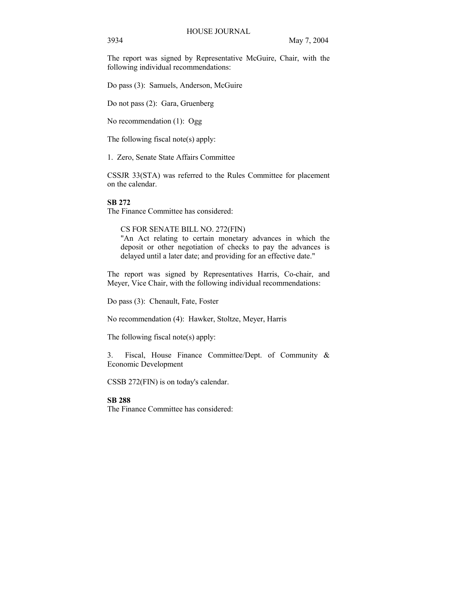The report was signed by Representative McGuire, Chair, with the following individual recommendations:

Do pass (3): Samuels, Anderson, McGuire

Do not pass (2): Gara, Gruenberg

No recommendation (1): Ogg

The following fiscal note(s) apply:

1. Zero, Senate State Affairs Committee

CSSJR 33(STA) was referred to the Rules Committee for placement on the calendar.

#### **SB 272**

The Finance Committee has considered:

## CS FOR SENATE BILL NO. 272(FIN)

"An Act relating to certain monetary advances in which the deposit or other negotiation of checks to pay the advances is delayed until a later date; and providing for an effective date."

The report was signed by Representatives Harris, Co-chair, and Meyer, Vice Chair, with the following individual recommendations:

Do pass (3): Chenault, Fate, Foster

No recommendation (4): Hawker, Stoltze, Meyer, Harris

The following fiscal note(s) apply:

3. Fiscal, House Finance Committee/Dept. of Community & Economic Development

CSSB 272(FIN) is on today's calendar.

## **SB 288**

The Finance Committee has considered: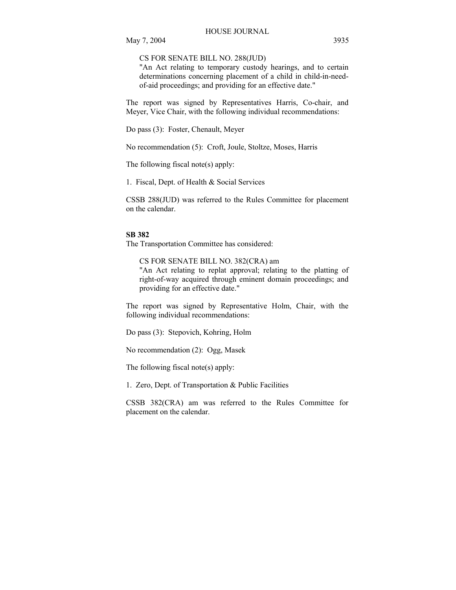CS FOR SENATE BILL NO. 288(JUD)

"An Act relating to temporary custody hearings, and to certain determinations concerning placement of a child in child-in-needof-aid proceedings; and providing for an effective date."

The report was signed by Representatives Harris, Co-chair, and Meyer, Vice Chair, with the following individual recommendations:

Do pass (3): Foster, Chenault, Meyer

No recommendation (5): Croft, Joule, Stoltze, Moses, Harris

The following fiscal note(s) apply:

1. Fiscal, Dept. of Health & Social Services

CSSB 288(JUD) was referred to the Rules Committee for placement on the calendar.

#### **SB 382**

The Transportation Committee has considered:

CS FOR SENATE BILL NO. 382(CRA) am "An Act relating to replat approval; relating to the platting of right-of-way acquired through eminent domain proceedings; and providing for an effective date."

The report was signed by Representative Holm, Chair, with the following individual recommendations:

Do pass (3): Stepovich, Kohring, Holm

No recommendation (2): Ogg, Masek

The following fiscal note(s) apply:

1. Zero, Dept. of Transportation & Public Facilities

CSSB 382(CRA) am was referred to the Rules Committee for placement on the calendar.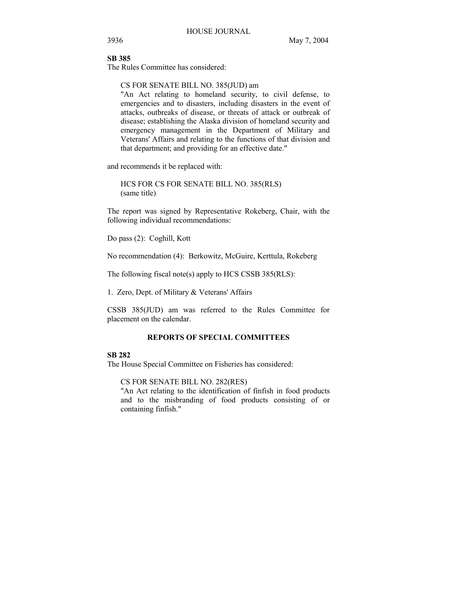## **SB 385**

The Rules Committee has considered:

## CS FOR SENATE BILL NO. 385(JUD) am

"An Act relating to homeland security, to civil defense, to emergencies and to disasters, including disasters in the event of attacks, outbreaks of disease, or threats of attack or outbreak of disease; establishing the Alaska division of homeland security and emergency management in the Department of Military and Veterans' Affairs and relating to the functions of that division and that department; and providing for an effective date."

and recommends it be replaced with:

HCS FOR CS FOR SENATE BILL NO. 385(RLS) (same title)

The report was signed by Representative Rokeberg, Chair, with the following individual recommendations:

Do pass (2): Coghill, Kott

No recommendation (4): Berkowitz, McGuire, Kerttula, Rokeberg

The following fiscal note(s) apply to HCS CSSB 385(RLS):

1. Zero, Dept. of Military & Veterans' Affairs

CSSB 385(JUD) am was referred to the Rules Committee for placement on the calendar.

## **REPORTS OF SPECIAL COMMITTEES**

## **SB 282**

The House Special Committee on Fisheries has considered:

CS FOR SENATE BILL NO. 282(RES)

"An Act relating to the identification of finfish in food products and to the misbranding of food products consisting of or containing finfish."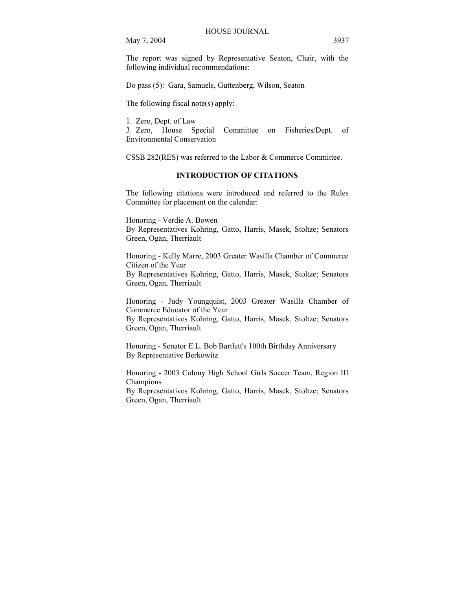The report was signed by Representative Seaton, Chair, with the following individual recommendations:

Do pass (5): Gara, Samuels, Guttenberg, Wilson, Seaton

The following fiscal note(s) apply:

1. Zero, Dept. of Law

3. Zero, House Special Committee on Fisheries/Dept. of Environmental Conservation

CSSB 282(RES) was referred to the Labor & Commerce Committee.

## **INTRODUCTION OF CITATIONS**

The following citations were introduced and referred to the Rules Committee for placement on the calendar:

Honoring - Verdie A. Bowen By Representatives Kohring, Gatto, Harris, Masek, Stoltze; Senators Green, Ogan, Therriault

Honoring - Kelly Marre, 2003 Greater Wasilla Chamber of Commerce Citizen of the Year By Representatives Kohring, Gatto, Harris, Masek, Stoltze; Senators Green, Ogan, Therriault

Honoring - Judy Youngquist, 2003 Greater Wasilla Chamber of Commerce Educator of the Year

By Representatives Kohring, Gatto, Harris, Masek, Stoltze; Senators Green, Ogan, Therriault

Honoring - Senator E.L. Bob Bartlett's 100th Birthday Anniversary By Representative Berkowitz

Honoring - 2003 Colony High School Girls Soccer Team, Region III Champions

By Representatives Kohring, Gatto, Harris, Masek, Stoltze; Senators Green, Ogan, Therriault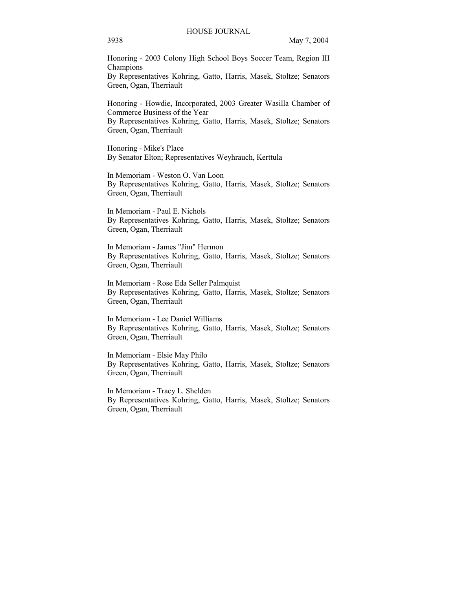Honoring - 2003 Colony High School Boys Soccer Team, Region III Champions

By Representatives Kohring, Gatto, Harris, Masek, Stoltze; Senators Green, Ogan, Therriault

Honoring - Howdie, Incorporated, 2003 Greater Wasilla Chamber of Commerce Business of the Year By Representatives Kohring, Gatto, Harris, Masek, Stoltze; Senators Green, Ogan, Therriault

Honoring - Mike's Place By Senator Elton; Representatives Weyhrauch, Kerttula

In Memoriam - Weston O. Van Loon By Representatives Kohring, Gatto, Harris, Masek, Stoltze; Senators Green, Ogan, Therriault

In Memoriam - Paul E. Nichols By Representatives Kohring, Gatto, Harris, Masek, Stoltze; Senators Green, Ogan, Therriault

In Memoriam - James "Jim" Hermon By Representatives Kohring, Gatto, Harris, Masek, Stoltze; Senators Green, Ogan, Therriault

In Memoriam - Rose Eda Seller Palmquist By Representatives Kohring, Gatto, Harris, Masek, Stoltze; Senators Green, Ogan, Therriault

In Memoriam - Lee Daniel Williams By Representatives Kohring, Gatto, Harris, Masek, Stoltze; Senators Green, Ogan, Therriault

In Memoriam - Elsie May Philo By Representatives Kohring, Gatto, Harris, Masek, Stoltze; Senators Green, Ogan, Therriault

In Memoriam - Tracy L. Shelden By Representatives Kohring, Gatto, Harris, Masek, Stoltze; Senators Green, Ogan, Therriault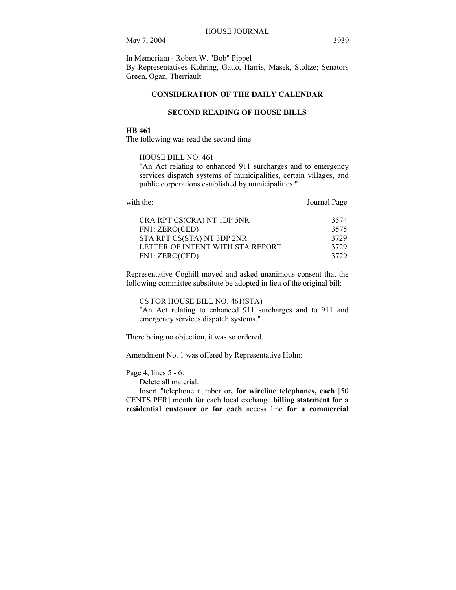In Memoriam - Robert W. "Bob" Pippel By Representatives Kohring, Gatto, Harris, Masek, Stoltze; Senators Green, Ogan, Therriault

## **CONSIDERATION OF THE DAILY CALENDAR**

#### **SECOND READING OF HOUSE BILLS**

#### **HB 461**

The following was read the second time:

#### HOUSE BILL NO. 461

"An Act relating to enhanced 911 surcharges and to emergency services dispatch systems of municipalities, certain villages, and public corporations established by municipalities."

| with the:                        | Journal Page |
|----------------------------------|--------------|
| CRA RPT CS(CRA) NT 1DP 5NR       | 3574         |
| FN1: ZERO(CED)                   | 3575         |
| STA RPT CS(STA) NT 3DP 2NR       | 3729         |
| LETTER OF INTENT WITH STA REPORT | 3729         |
| FN1: ZERO(CED)                   | 3729         |

Representative Coghill moved and asked unanimous consent that the following committee substitute be adopted in lieu of the original bill:

CS FOR HOUSE BILL NO. 461(STA)

"An Act relating to enhanced 911 surcharges and to 911 and emergency services dispatch systems."

There being no objection, it was so ordered.

Amendment No. 1 was offered by Representative Holm:

Page 4, lines 5 - 6:

Delete all material.

 Insert "telephone number or**, for wireline telephones, each** [50 CENTS PER] month for each local exchange **billing statement for a residential customer or for each** access line **for a commercial**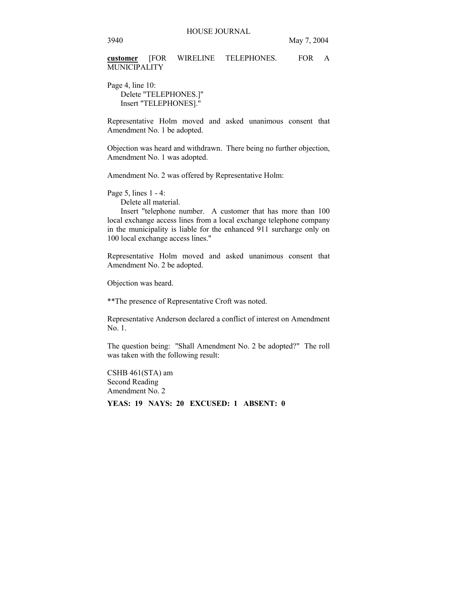**customer** [FOR WIRELINE TELEPHONES. FOR A **MUNICIPALITY** 

Page 4, line 10: Delete "TELEPHONES.]" Insert "TELEPHONES]."

Representative Holm moved and asked unanimous consent that Amendment No. 1 be adopted.

Objection was heard and withdrawn. There being no further objection, Amendment No. 1 was adopted.

Amendment No. 2 was offered by Representative Holm:

Page 5, lines 1 - 4:

Delete all material.

 Insert "telephone number. A customer that has more than 100 local exchange access lines from a local exchange telephone company in the municipality is liable for the enhanced 911 surcharge only on 100 local exchange access lines."

Representative Holm moved and asked unanimous consent that Amendment No. 2 be adopted.

Objection was heard.

\*\*The presence of Representative Croft was noted.

Representative Anderson declared a conflict of interest on Amendment No. 1.

The question being: "Shall Amendment No. 2 be adopted?" The roll was taken with the following result:

CSHB 461(STA) am Second Reading Amendment No. 2

**YEAS: 19 NAYS: 20 EXCUSED: 1 ABSENT: 0**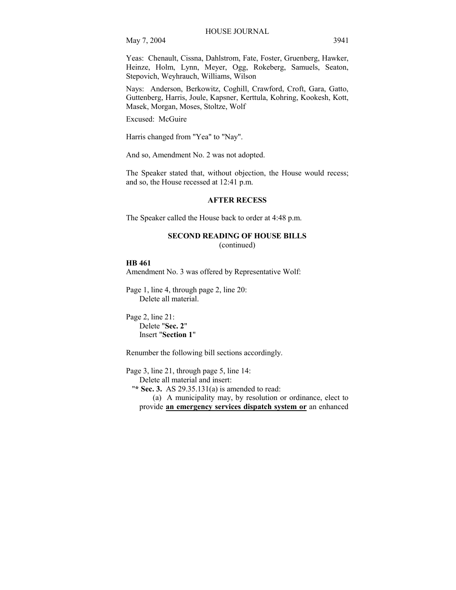Yeas: Chenault, Cissna, Dahlstrom, Fate, Foster, Gruenberg, Hawker, Heinze, Holm, Lynn, Meyer, Ogg, Rokeberg, Samuels, Seaton, Stepovich, Weyhrauch, Williams, Wilson

Nays: Anderson, Berkowitz, Coghill, Crawford, Croft, Gara, Gatto, Guttenberg, Harris, Joule, Kapsner, Kerttula, Kohring, Kookesh, Kott, Masek, Morgan, Moses, Stoltze, Wolf

Excused: McGuire

Harris changed from "Yea" to "Nay".

And so, Amendment No. 2 was not adopted.

The Speaker stated that, without objection, the House would recess; and so, the House recessed at 12:41 p.m.

#### **AFTER RECESS**

The Speaker called the House back to order at 4:48 p.m.

#### **SECOND READING OF HOUSE BILLS**

(continued)

#### **HB 461**

Amendment No. 3 was offered by Representative Wolf:

Page 1, line 4, through page 2, line 20: Delete all material.

Page 2, line 21: Delete "**Sec. 2**" Insert "**Section 1**"

Renumber the following bill sections accordingly.

Page 3, line 21, through page 5, line 14:

Delete all material and insert:

"**\* Sec. 3.** AS 29.35.131(a) is amended to read:

(a) A municipality may, by resolution or ordinance, elect to provide **an emergency services dispatch system or** an enhanced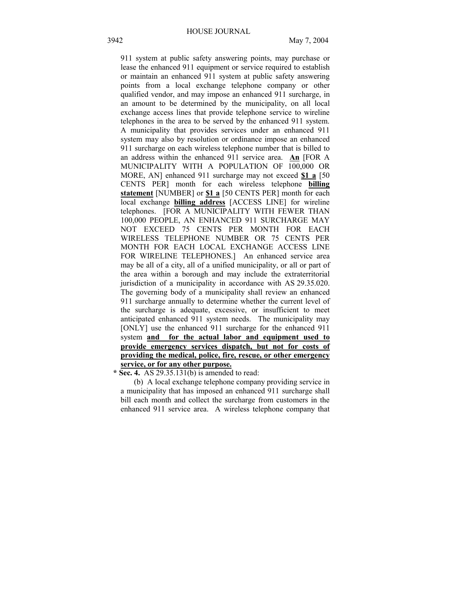911 system at public safety answering points, may purchase or lease the enhanced 911 equipment or service required to establish or maintain an enhanced 911 system at public safety answering points from a local exchange telephone company or other qualified vendor, and may impose an enhanced 911 surcharge, in an amount to be determined by the municipality, on all local exchange access lines that provide telephone service to wireline telephones in the area to be served by the enhanced 911 system. A municipality that provides services under an enhanced 911 system may also by resolution or ordinance impose an enhanced 911 surcharge on each wireless telephone number that is billed to an address within the enhanced 911 service area. **An** [FOR A MUNICIPALITY WITH A POPULATION OF 100,000 OR MORE, AN] enhanced 911 surcharge may not exceed **\$1 a** [50 CENTS PER] month for each wireless telephone **billing statement** [NUMBER] or **\$1 a** [50 CENTS PER] month for each local exchange **billing address** [ACCESS LINE] for wireline telephones. [FOR A MUNICIPALITY WITH FEWER THAN 100,000 PEOPLE, AN ENHANCED 911 SURCHARGE MAY NOT EXCEED 75 CENTS PER MONTH FOR EACH WIRELESS TELEPHONE NUMBER OR 75 CENTS PER MONTH FOR EACH LOCAL EXCHANGE ACCESS LINE FOR WIRELINE TELEPHONES.] An enhanced service area may be all of a city, all of a unified municipality, or all or part of the area within a borough and may include the extraterritorial jurisdiction of a municipality in accordance with AS 29.35.020. The governing body of a municipality shall review an enhanced 911 surcharge annually to determine whether the current level of the surcharge is adequate, excessive, or insufficient to meet anticipated enhanced 911 system needs. The municipality may [ONLY] use the enhanced 911 surcharge for the enhanced 911 system **and for the actual labor and equipment used to provide emergency services dispatch, but not for costs of providing the medical, police, fire, rescue, or other emergency service, or for any other purpose.** 

 **\* Sec. 4.** AS 29.35.131(b) is amended to read:

 (b) A local exchange telephone company providing service in a municipality that has imposed an enhanced 911 surcharge shall bill each month and collect the surcharge from customers in the enhanced 911 service area. A wireless telephone company that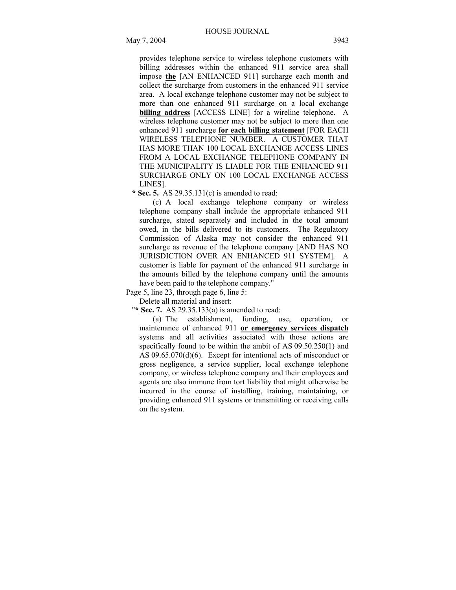provides telephone service to wireless telephone customers with billing addresses within the enhanced 911 service area shall impose **the** [AN ENHANCED 911] surcharge each month and collect the surcharge from customers in the enhanced 911 service area. A local exchange telephone customer may not be subject to more than one enhanced 911 surcharge on a local exchange **billing address** [ACCESS LINE] for a wireline telephone. A wireless telephone customer may not be subject to more than one enhanced 911 surcharge **for each billing statement** [FOR EACH WIRELESS TELEPHONE NUMBER. A CUSTOMER THAT HAS MORE THAN 100 LOCAL EXCHANGE ACCESS LINES FROM A LOCAL EXCHANGE TELEPHONE COMPANY IN THE MUNICIPALITY IS LIABLE FOR THE ENHANCED 911 SURCHARGE ONLY ON 100 LOCAL EXCHANGE ACCESS LINES].

 **\* Sec. 5.** AS 29.35.131(c) is amended to read:

(c) A local exchange telephone company or wireless telephone company shall include the appropriate enhanced 911 surcharge, stated separately and included in the total amount owed, in the bills delivered to its customers. The Regulatory Commission of Alaska may not consider the enhanced 911 surcharge as revenue of the telephone company [AND HAS NO JURISDICTION OVER AN ENHANCED 911 SYSTEM]. A customer is liable for payment of the enhanced 911 surcharge in the amounts billed by the telephone company until the amounts have been paid to the telephone company."

Page 5, line 23, through page 6, line 5:

Delete all material and insert:

"**\* Sec. 7.** AS 29.35.133(a) is amended to read:

(a) The establishment, funding, use, operation, or maintenance of enhanced 911 **or emergency services dispatch** systems and all activities associated with those actions are specifically found to be within the ambit of AS 09.50.250(1) and AS 09.65.070(d)(6). Except for intentional acts of misconduct or gross negligence, a service supplier, local exchange telephone company, or wireless telephone company and their employees and agents are also immune from tort liability that might otherwise be incurred in the course of installing, training, maintaining, or providing enhanced 911 systems or transmitting or receiving calls on the system.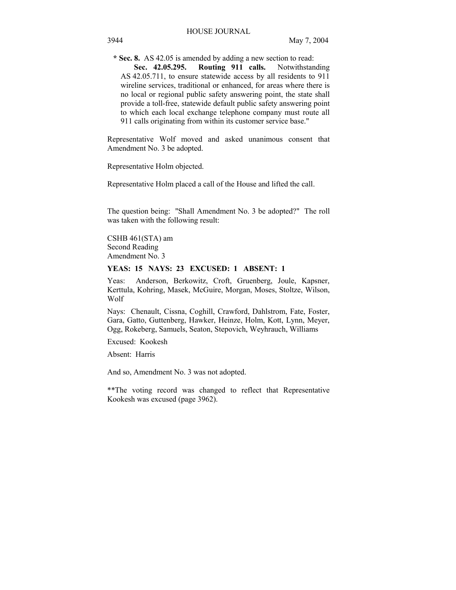**\* Sec. 8.** AS 42.05 is amended by adding a new section to read: **Sec. 42.05.295. Routing 911 calls.** Notwithstanding AS 42.05.711, to ensure statewide access by all residents to 911 wireline services, traditional or enhanced, for areas where there is no local or regional public safety answering point, the state shall provide a toll-free, statewide default public safety answering point

Representative Wolf moved and asked unanimous consent that Amendment No. 3 be adopted.

to which each local exchange telephone company must route all 911 calls originating from within its customer service base."

Representative Holm objected.

Representative Holm placed a call of the House and lifted the call.

The question being: "Shall Amendment No. 3 be adopted?" The roll was taken with the following result:

CSHB 461(STA) am Second Reading Amendment No. 3

#### **YEAS: 15 NAYS: 23 EXCUSED: 1 ABSENT: 1**

Yeas: Anderson, Berkowitz, Croft, Gruenberg, Joule, Kapsner, Kerttula, Kohring, Masek, McGuire, Morgan, Moses, Stoltze, Wilson, Wolf

Nays: Chenault, Cissna, Coghill, Crawford, Dahlstrom, Fate, Foster, Gara, Gatto, Guttenberg, Hawker, Heinze, Holm, Kott, Lynn, Meyer, Ogg, Rokeberg, Samuels, Seaton, Stepovich, Weyhrauch, Williams

Excused: Kookesh

Absent: Harris

And so, Amendment No. 3 was not adopted.

\*\*The voting record was changed to reflect that Representative Kookesh was excused (page 3962).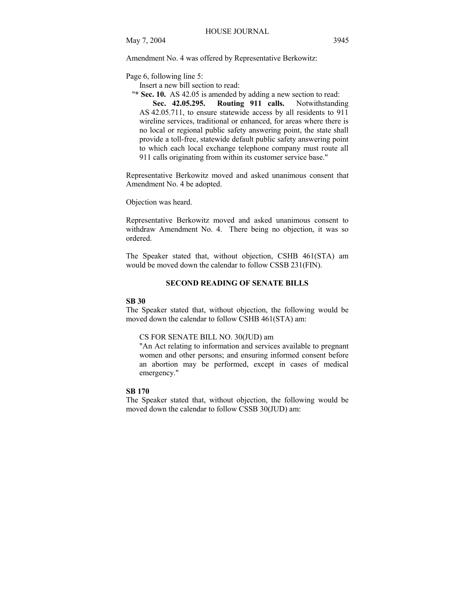Amendment No. 4 was offered by Representative Berkowitz:

Page 6, following line 5:

Insert a new bill section to read:

**"\* Sec. 10.** AS 42.05 is amended by adding a new section to read: **Sec. 42.05.295. Routing 911 calls.** Notwithstanding AS 42.05.711, to ensure statewide access by all residents to 911 wireline services, traditional or enhanced, for areas where there is no local or regional public safety answering point, the state shall provide a toll-free, statewide default public safety answering point to which each local exchange telephone company must route all 911 calls originating from within its customer service base."

Representative Berkowitz moved and asked unanimous consent that Amendment No. 4 be adopted.

Objection was heard.

Representative Berkowitz moved and asked unanimous consent to withdraw Amendment No. 4. There being no objection, it was so ordered.

The Speaker stated that, without objection, CSHB 461(STA) am would be moved down the calendar to follow CSSB 231(FIN).

#### **SECOND READING OF SENATE BILLS**

#### **SB 30**

The Speaker stated that, without objection, the following would be moved down the calendar to follow CSHB 461(STA) am:

#### CS FOR SENATE BILL NO. 30(JUD) am

"An Act relating to information and services available to pregnant women and other persons; and ensuring informed consent before an abortion may be performed, except in cases of medical emergency."

#### **SB 170**

The Speaker stated that, without objection, the following would be moved down the calendar to follow CSSB 30(JUD) am: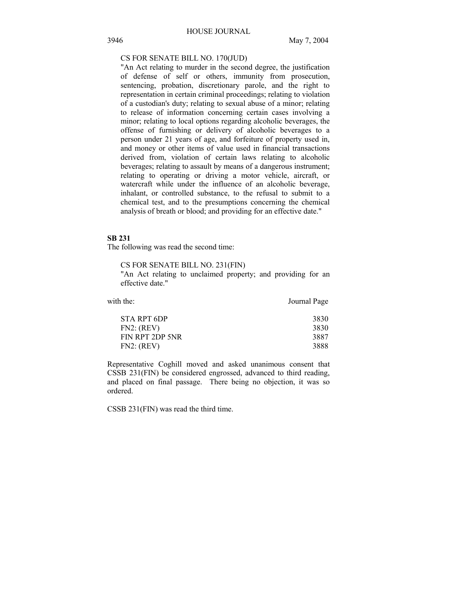## CS FOR SENATE BILL NO. 170(JUD)

"An Act relating to murder in the second degree, the justification of defense of self or others, immunity from prosecution, sentencing, probation, discretionary parole, and the right to representation in certain criminal proceedings; relating to violation of a custodian's duty; relating to sexual abuse of a minor; relating to release of information concerning certain cases involving a minor; relating to local options regarding alcoholic beverages, the offense of furnishing or delivery of alcoholic beverages to a person under 21 years of age, and forfeiture of property used in, and money or other items of value used in financial transactions derived from, violation of certain laws relating to alcoholic beverages; relating to assault by means of a dangerous instrument; relating to operating or driving a motor vehicle, aircraft, or watercraft while under the influence of an alcoholic beverage, inhalant, or controlled substance, to the refusal to submit to a chemical test, and to the presumptions concerning the chemical analysis of breath or blood; and providing for an effective date."

### **SB 231**

The following was read the second time:

CS FOR SENATE BILL NO. 231(FIN)

"An Act relating to unclaimed property; and providing for an effective date."

| with the:       | Journal Page |
|-----------------|--------------|
| STA RPT 6DP     | 3830         |
| FN2: (REV)      | 3830         |
| FIN RPT 2DP 5NR | 3887         |
| FN2: (REV)      | 3888         |

Representative Coghill moved and asked unanimous consent that CSSB 231(FIN) be considered engrossed, advanced to third reading, and placed on final passage. There being no objection, it was so ordered.

CSSB 231(FIN) was read the third time.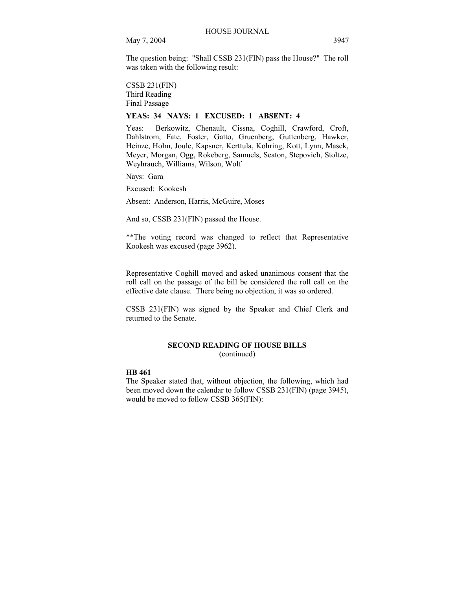The question being: "Shall CSSB 231(FIN) pass the House?" The roll was taken with the following result:

CSSB 231(FIN) Third Reading Final Passage

## **YEAS: 34 NAYS: 1 EXCUSED: 1 ABSENT: 4**

Yeas: Berkowitz, Chenault, Cissna, Coghill, Crawford, Croft, Dahlstrom, Fate, Foster, Gatto, Gruenberg, Guttenberg, Hawker, Heinze, Holm, Joule, Kapsner, Kerttula, Kohring, Kott, Lynn, Masek, Meyer, Morgan, Ogg, Rokeberg, Samuels, Seaton, Stepovich, Stoltze, Weyhrauch, Williams, Wilson, Wolf

Nays: Gara

Excused: Kookesh

Absent: Anderson, Harris, McGuire, Moses

And so, CSSB 231(FIN) passed the House.

\*\*The voting record was changed to reflect that Representative Kookesh was excused (page 3962).

Representative Coghill moved and asked unanimous consent that the roll call on the passage of the bill be considered the roll call on the effective date clause. There being no objection, it was so ordered.

CSSB 231(FIN) was signed by the Speaker and Chief Clerk and returned to the Senate.

# **SECOND READING OF HOUSE BILLS**

(continued)

#### **HB 461**

The Speaker stated that, without objection, the following, which had been moved down the calendar to follow CSSB 231(FIN) (page 3945), would be moved to follow CSSB 365(FIN):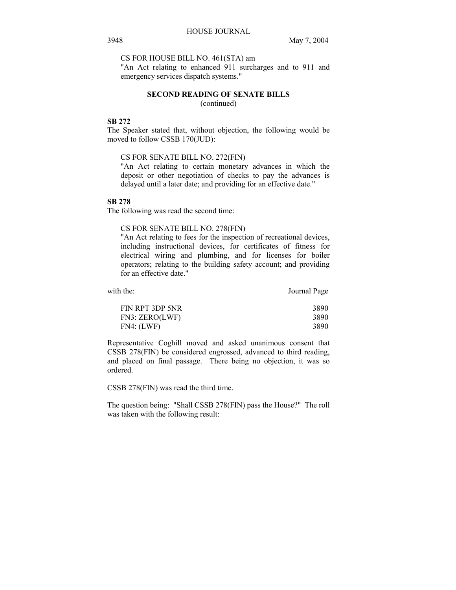## CS FOR HOUSE BILL NO. 461(STA) am

"An Act relating to enhanced 911 surcharges and to 911 and emergency services dispatch systems."

#### **SECOND READING OF SENATE BILLS**  (continued)

#### **SB 272**

The Speaker stated that, without objection, the following would be moved to follow CSSB 170(JUD):

## CS FOR SENATE BILL NO. 272(FIN)

"An Act relating to certain monetary advances in which the deposit or other negotiation of checks to pay the advances is delayed until a later date; and providing for an effective date."

## **SB 278**

The following was read the second time:

#### CS FOR SENATE BILL NO. 278(FIN)

"An Act relating to fees for the inspection of recreational devices, including instructional devices, for certificates of fitness for electrical wiring and plumbing, and for licenses for boiler operators; relating to the building safety account; and providing for an effective date."

| with the:           | Journal Page |
|---------------------|--------------|
|                     |              |
| F111 D T 2 D D 71 D | 2000         |

| FIN RPT 3DP 5NR | 3890 |
|-----------------|------|
| FN3: ZERO(LWF)  | 3890 |
| FN4: (LWF)      | 3890 |

Representative Coghill moved and asked unanimous consent that CSSB 278(FIN) be considered engrossed, advanced to third reading, and placed on final passage. There being no objection, it was so ordered.

CSSB 278(FIN) was read the third time.

The question being: "Shall CSSB 278(FIN) pass the House?" The roll was taken with the following result: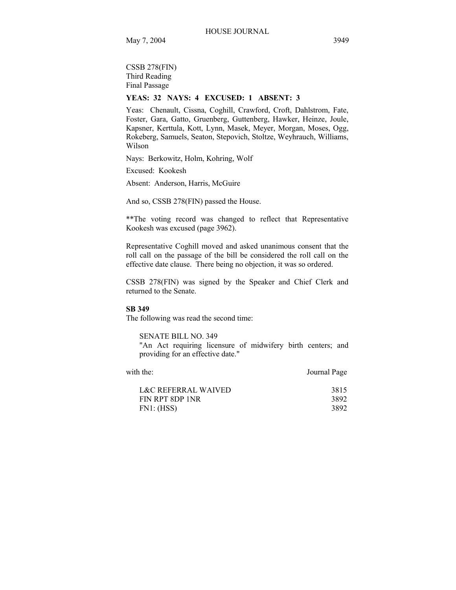CSSB 278(FIN) Third Reading Final Passage

# **YEAS: 32 NAYS: 4 EXCUSED: 1 ABSENT: 3**

Yeas: Chenault, Cissna, Coghill, Crawford, Croft, Dahlstrom, Fate, Foster, Gara, Gatto, Gruenberg, Guttenberg, Hawker, Heinze, Joule, Kapsner, Kerttula, Kott, Lynn, Masek, Meyer, Morgan, Moses, Ogg, Rokeberg, Samuels, Seaton, Stepovich, Stoltze, Weyhrauch, Williams, Wilson

Nays: Berkowitz, Holm, Kohring, Wolf

Excused: Kookesh

Absent: Anderson, Harris, McGuire

And so, CSSB 278(FIN) passed the House.

\*\*The voting record was changed to reflect that Representative Kookesh was excused (page 3962).

Representative Coghill moved and asked unanimous consent that the roll call on the passage of the bill be considered the roll call on the effective date clause. There being no objection, it was so ordered.

CSSB 278(FIN) was signed by the Speaker and Chief Clerk and returned to the Senate.

#### **SB 349**

The following was read the second time:

SENATE BILL NO. 349

"An Act requiring licensure of midwifery birth centers; and providing for an effective date."

| with the:           | Journal Page |
|---------------------|--------------|
| L&C REFERRAL WAIVED | 3815         |
| FIN RPT 8DP 1NR     | 3892         |
| FN1: (HSS)          | 3892         |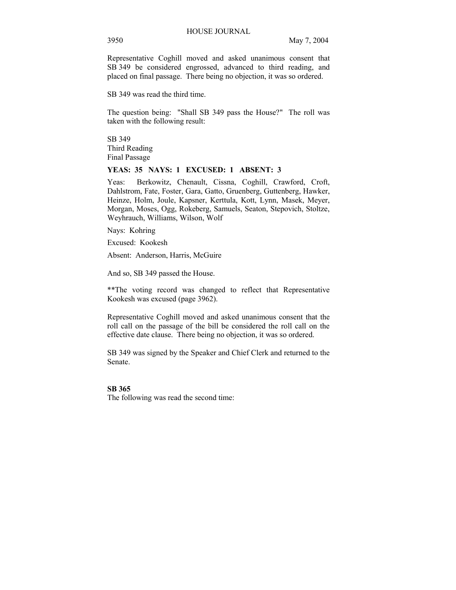Representative Coghill moved and asked unanimous consent that SB 349 be considered engrossed, advanced to third reading, and placed on final passage. There being no objection, it was so ordered.

SB 349 was read the third time.

The question being: "Shall SB 349 pass the House?" The roll was taken with the following result:

SB 349 Third Reading Final Passage

## **YEAS: 35 NAYS: 1 EXCUSED: 1 ABSENT: 3**

Yeas: Berkowitz, Chenault, Cissna, Coghill, Crawford, Croft, Dahlstrom, Fate, Foster, Gara, Gatto, Gruenberg, Guttenberg, Hawker, Heinze, Holm, Joule, Kapsner, Kerttula, Kott, Lynn, Masek, Meyer, Morgan, Moses, Ogg, Rokeberg, Samuels, Seaton, Stepovich, Stoltze, Weyhrauch, Williams, Wilson, Wolf

Nays: Kohring

Excused: Kookesh

Absent: Anderson, Harris, McGuire

And so, SB 349 passed the House.

\*\*The voting record was changed to reflect that Representative Kookesh was excused (page 3962).

Representative Coghill moved and asked unanimous consent that the roll call on the passage of the bill be considered the roll call on the effective date clause. There being no objection, it was so ordered.

SB 349 was signed by the Speaker and Chief Clerk and returned to the Senate.

## **SB 365**

The following was read the second time: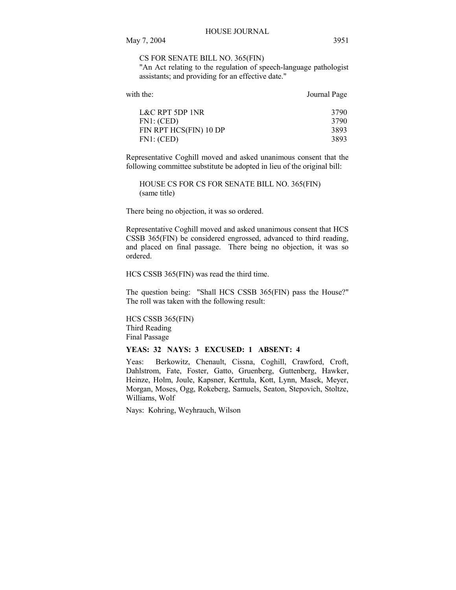## CS FOR SENATE BILL NO. 365(FIN)

"An Act relating to the regulation of speech-language pathologist assistants; and providing for an effective date."

| with the:              | Journal Page |
|------------------------|--------------|
| L&C RPT 5DP 1NR        | 3790         |
| FN1: (CED)             | 3790         |
| FIN RPT HCS(FIN) 10 DP | 3893         |
| FN1: (CED)             | 3893         |
|                        |              |

Representative Coghill moved and asked unanimous consent that the following committee substitute be adopted in lieu of the original bill:

HOUSE CS FOR CS FOR SENATE BILL NO. 365(FIN) (same title)

There being no objection, it was so ordered.

Representative Coghill moved and asked unanimous consent that HCS CSSB 365(FIN) be considered engrossed, advanced to third reading, and placed on final passage. There being no objection, it was so ordered.

HCS CSSB 365(FIN) was read the third time.

The question being: "Shall HCS CSSB 365(FIN) pass the House?" The roll was taken with the following result:

HCS CSSB 365(FIN) Third Reading Final Passage

## **YEAS: 32 NAYS: 3 EXCUSED: 1 ABSENT: 4**

Yeas: Berkowitz, Chenault, Cissna, Coghill, Crawford, Croft, Dahlstrom, Fate, Foster, Gatto, Gruenberg, Guttenberg, Hawker, Heinze, Holm, Joule, Kapsner, Kerttula, Kott, Lynn, Masek, Meyer, Morgan, Moses, Ogg, Rokeberg, Samuels, Seaton, Stepovich, Stoltze, Williams, Wolf

Nays: Kohring, Weyhrauch, Wilson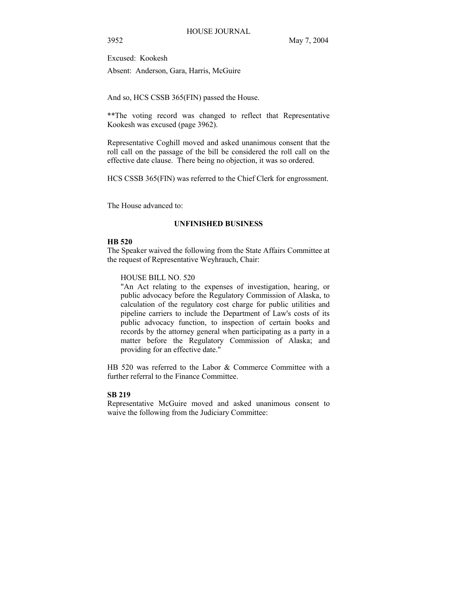Excused: Kookesh

Absent: Anderson, Gara, Harris, McGuire

And so, HCS CSSB 365(FIN) passed the House.

\*\*The voting record was changed to reflect that Representative Kookesh was excused (page 3962).

Representative Coghill moved and asked unanimous consent that the roll call on the passage of the bill be considered the roll call on the effective date clause. There being no objection, it was so ordered.

HCS CSSB 365(FIN) was referred to the Chief Clerk for engrossment.

The House advanced to:

#### **UNFINISHED BUSINESS**

## **HB 520**

The Speaker waived the following from the State Affairs Committee at the request of Representative Weyhrauch, Chair:

HOUSE BILL NO. 520

"An Act relating to the expenses of investigation, hearing, or public advocacy before the Regulatory Commission of Alaska, to calculation of the regulatory cost charge for public utilities and pipeline carriers to include the Department of Law's costs of its public advocacy function, to inspection of certain books and records by the attorney general when participating as a party in a matter before the Regulatory Commission of Alaska; and providing for an effective date."

HB 520 was referred to the Labor & Commerce Committee with a further referral to the Finance Committee.

#### **SB 219**

Representative McGuire moved and asked unanimous consent to waive the following from the Judiciary Committee: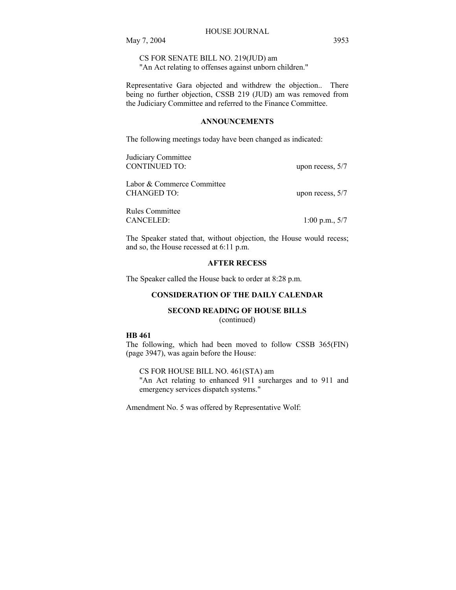CS FOR SENATE BILL NO. 219(JUD) am "An Act relating to offenses against unborn children."

Representative Gara objected and withdrew the objection.. There being no further objection, CSSB 219 (JUD) am was removed from the Judiciary Committee and referred to the Finance Committee.

## **ANNOUNCEMENTS**

The following meetings today have been changed as indicated:

| Judiciary Committee<br><b>CONTINUED TO:</b> |                    |
|---------------------------------------------|--------------------|
|                                             | upon recess, $5/7$ |
| Labor & Commerce Committee                  |                    |
| <b>CHANGED TO:</b>                          | upon recess, $5/7$ |
| Rules Committee                             |                    |
| CANCELED:                                   | $1:00$ p.m., $5/7$ |

The Speaker stated that, without objection, the House would recess; and so, the House recessed at 6:11 p.m.

## **AFTER RECESS**

The Speaker called the House back to order at 8:28 p.m.

## **CONSIDERATION OF THE DAILY CALENDAR**

#### **SECOND READING OF HOUSE BILLS**

(continued)

#### **HB 461**

The following, which had been moved to follow CSSB 365(FIN) (page 3947), was again before the House:

CS FOR HOUSE BILL NO. 461(STA) am "An Act relating to enhanced 911 surcharges and to 911 and emergency services dispatch systems."

Amendment No. 5 was offered by Representative Wolf: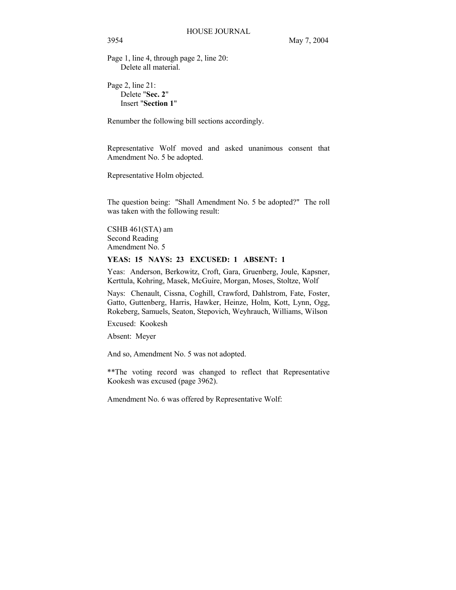Page 1, line 4, through page 2, line 20: Delete all material.

Page 2, line 21: Delete "**Sec. 2**" Insert "**Section 1**"

Renumber the following bill sections accordingly.

Representative Wolf moved and asked unanimous consent that Amendment No. 5 be adopted.

Representative Holm objected.

The question being: "Shall Amendment No. 5 be adopted?" The roll was taken with the following result:

CSHB 461(STA) am Second Reading Amendment No. 5

## **YEAS: 15 NAYS: 23 EXCUSED: 1 ABSENT: 1**

Yeas: Anderson, Berkowitz, Croft, Gara, Gruenberg, Joule, Kapsner, Kerttula, Kohring, Masek, McGuire, Morgan, Moses, Stoltze, Wolf

Nays: Chenault, Cissna, Coghill, Crawford, Dahlstrom, Fate, Foster, Gatto, Guttenberg, Harris, Hawker, Heinze, Holm, Kott, Lynn, Ogg, Rokeberg, Samuels, Seaton, Stepovich, Weyhrauch, Williams, Wilson

Excused: Kookesh

Absent: Meyer

And so, Amendment No. 5 was not adopted.

\*\*The voting record was changed to reflect that Representative Kookesh was excused (page 3962).

Amendment No. 6 was offered by Representative Wolf: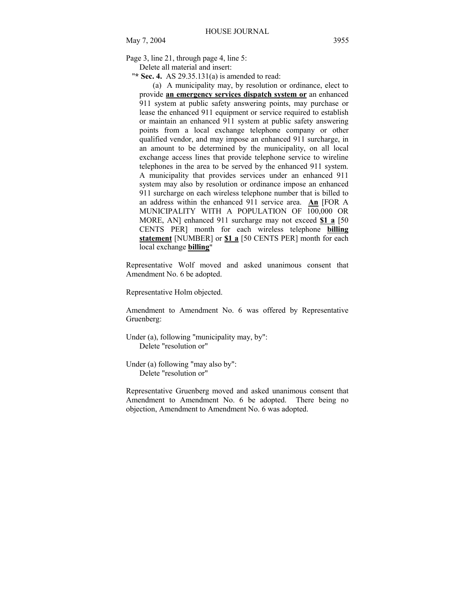Page 3, line 21, through page 4, line 5:

Delete all material and insert:

"**\* Sec. 4.** AS 29.35.131(a) is amended to read:

(a) A municipality may, by resolution or ordinance, elect to provide **an emergency services dispatch system or** an enhanced 911 system at public safety answering points, may purchase or lease the enhanced 911 equipment or service required to establish or maintain an enhanced 911 system at public safety answering points from a local exchange telephone company or other qualified vendor, and may impose an enhanced 911 surcharge, in an amount to be determined by the municipality, on all local exchange access lines that provide telephone service to wireline telephones in the area to be served by the enhanced 911 system. A municipality that provides services under an enhanced 911 system may also by resolution or ordinance impose an enhanced 911 surcharge on each wireless telephone number that is billed to an address within the enhanced 911 service area. **An** [FOR A MUNICIPALITY WITH A POPULATION OF 100,000 OR MORE, AN] enhanced 911 surcharge may not exceed **\$1 a** [50 CENTS PER] month for each wireless telephone **billing statement** [NUMBER] or **\$1 a** [50 CENTS PER] month for each local exchange **billing**"

Representative Wolf moved and asked unanimous consent that Amendment No. 6 be adopted.

Representative Holm objected.

Amendment to Amendment No. 6 was offered by Representative Gruenberg:

- Under (a), following "municipality may, by": Delete "resolution or"
- Under (a) following "may also by": Delete "resolution or"

Representative Gruenberg moved and asked unanimous consent that Amendment to Amendment No. 6 be adopted. There being no objection, Amendment to Amendment No. 6 was adopted.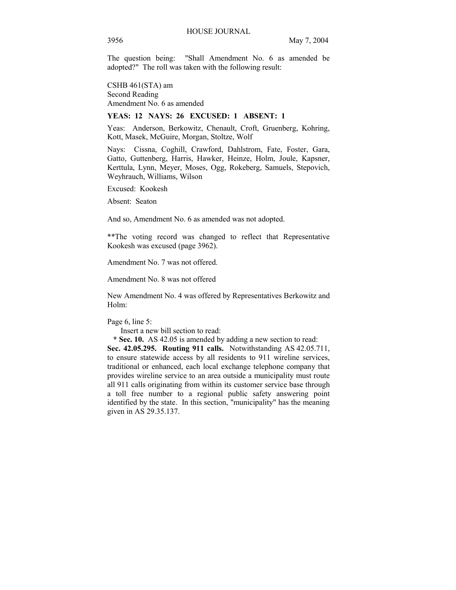The question being: "Shall Amendment No. 6 as amended be adopted?" The roll was taken with the following result:

CSHB 461(STA) am Second Reading Amendment No. 6 as amended

### **YEAS: 12 NAYS: 26 EXCUSED: 1 ABSENT: 1**

Yeas: Anderson, Berkowitz, Chenault, Croft, Gruenberg, Kohring, Kott, Masek, McGuire, Morgan, Stoltze, Wolf

Nays: Cissna, Coghill, Crawford, Dahlstrom, Fate, Foster, Gara, Gatto, Guttenberg, Harris, Hawker, Heinze, Holm, Joule, Kapsner, Kerttula, Lynn, Meyer, Moses, Ogg, Rokeberg, Samuels, Stepovich, Weyhrauch, Williams, Wilson

Excused: Kookesh

Absent: Seaton

And so, Amendment No. 6 as amended was not adopted.

\*\*The voting record was changed to reflect that Representative Kookesh was excused (page 3962).

Amendment No. 7 was not offered.

Amendment No. 8 was not offered

New Amendment No. 4 was offered by Representatives Berkowitz and Holm:

#### Page 6, line 5:

Insert a new bill section to read:

 **\* Sec. 10.** AS 42.05 is amended by adding a new section to read:

**Sec. 42.05.295. Routing 911 calls.** Notwithstanding AS 42.05.711, to ensure statewide access by all residents to 911 wireline services, traditional or enhanced, each local exchange telephone company that provides wireline service to an area outside a municipality must route all 911 calls originating from within its customer service base through a toll free number to a regional public safety answering point identified by the state. In this section, "municipality" has the meaning given in AS 29.35.137.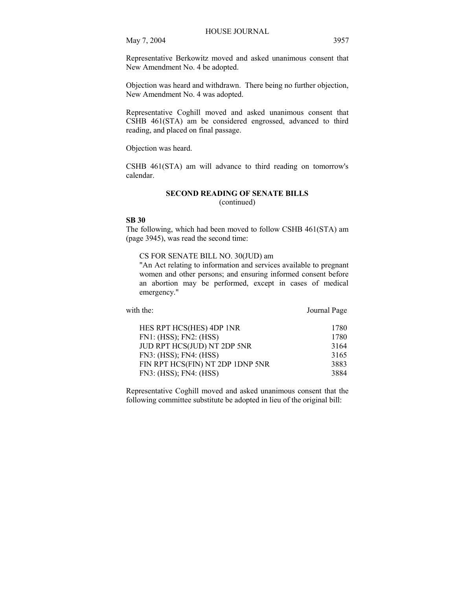Representative Berkowitz moved and asked unanimous consent that New Amendment No. 4 be adopted.

Objection was heard and withdrawn. There being no further objection, New Amendment No. 4 was adopted.

Representative Coghill moved and asked unanimous consent that CSHB 461(STA) am be considered engrossed, advanced to third reading, and placed on final passage.

Objection was heard.

CSHB 461(STA) am will advance to third reading on tomorrow's calendar.

# **SECOND READING OF SENATE BILLS**

(continued)

#### **SB 30**

The following, which had been moved to follow CSHB 461(STA) am (page 3945), was read the second time:

CS FOR SENATE BILL NO. 30(JUD) am

"An Act relating to information and services available to pregnant women and other persons; and ensuring informed consent before an abortion may be performed, except in cases of medical emergency."

with the: Journal Page

| HES RPT HCS(HES) 4DP 1NR         | 1780 |
|----------------------------------|------|
| FN1: (HSS); FN2: (HSS)           | 1780 |
| JUD RPT HCS(JUD) NT 2DP 5NR      | 3164 |
| FN3: (HSS); FN4: (HSS)           | 3165 |
| FIN RPT HCS(FIN) NT 2DP 1DNP 5NR | 3883 |
| FN3: (HSS); FN4: (HSS)           | 3884 |

Representative Coghill moved and asked unanimous consent that the following committee substitute be adopted in lieu of the original bill: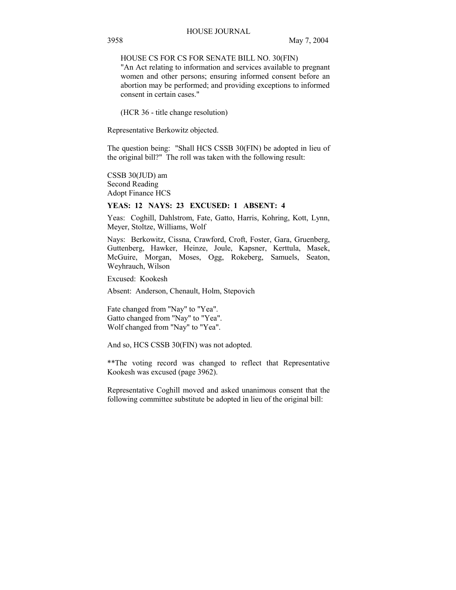## HOUSE CS FOR CS FOR SENATE BILL NO. 30(FIN)

"An Act relating to information and services available to pregnant women and other persons; ensuring informed consent before an abortion may be performed; and providing exceptions to informed consent in certain cases."

(HCR 36 - title change resolution)

Representative Berkowitz objected.

The question being: "Shall HCS CSSB 30(FIN) be adopted in lieu of the original bill?" The roll was taken with the following result:

CSSB 30(JUD) am Second Reading Adopt Finance HCS

## **YEAS: 12 NAYS: 23 EXCUSED: 1 ABSENT: 4**

Yeas: Coghill, Dahlstrom, Fate, Gatto, Harris, Kohring, Kott, Lynn, Meyer, Stoltze, Williams, Wolf

Nays: Berkowitz, Cissna, Crawford, Croft, Foster, Gara, Gruenberg, Guttenberg, Hawker, Heinze, Joule, Kapsner, Kerttula, Masek, McGuire, Morgan, Moses, Ogg, Rokeberg, Samuels, Seaton, Weyhrauch, Wilson

Excused: Kookesh

Absent: Anderson, Chenault, Holm, Stepovich

Fate changed from "Nay" to "Yea". Gatto changed from "Nay" to "Yea". Wolf changed from "Nay" to "Yea".

And so, HCS CSSB 30(FIN) was not adopted.

\*\*The voting record was changed to reflect that Representative Kookesh was excused (page 3962).

Representative Coghill moved and asked unanimous consent that the following committee substitute be adopted in lieu of the original bill: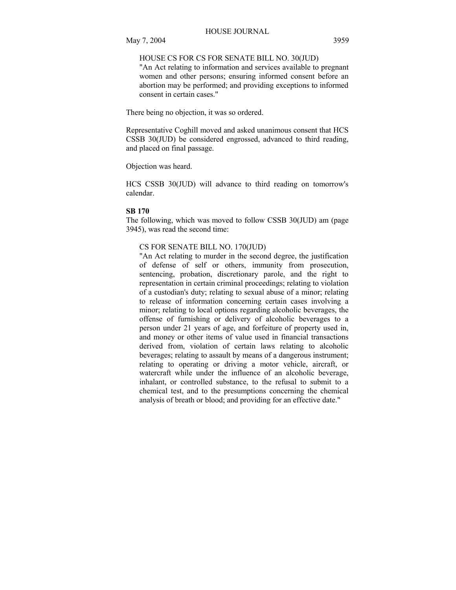## HOUSE CS FOR CS FOR SENATE BILL NO. 30(JUD)

"An Act relating to information and services available to pregnant women and other persons; ensuring informed consent before an abortion may be performed; and providing exceptions to informed consent in certain cases."

There being no objection, it was so ordered.

Representative Coghill moved and asked unanimous consent that HCS CSSB 30(JUD) be considered engrossed, advanced to third reading, and placed on final passage.

Objection was heard.

HCS CSSB 30(JUD) will advance to third reading on tomorrow's calendar.

## **SB 170**

The following, which was moved to follow CSSB 30(JUD) am (page 3945), was read the second time:

## CS FOR SENATE BILL NO. 170(JUD)

"An Act relating to murder in the second degree, the justification of defense of self or others, immunity from prosecution, sentencing, probation, discretionary parole, and the right to representation in certain criminal proceedings; relating to violation of a custodian's duty; relating to sexual abuse of a minor; relating to release of information concerning certain cases involving a minor; relating to local options regarding alcoholic beverages, the offense of furnishing or delivery of alcoholic beverages to a person under 21 years of age, and forfeiture of property used in, and money or other items of value used in financial transactions derived from, violation of certain laws relating to alcoholic beverages; relating to assault by means of a dangerous instrument; relating to operating or driving a motor vehicle, aircraft, or watercraft while under the influence of an alcoholic beverage, inhalant, or controlled substance, to the refusal to submit to a chemical test, and to the presumptions concerning the chemical analysis of breath or blood; and providing for an effective date."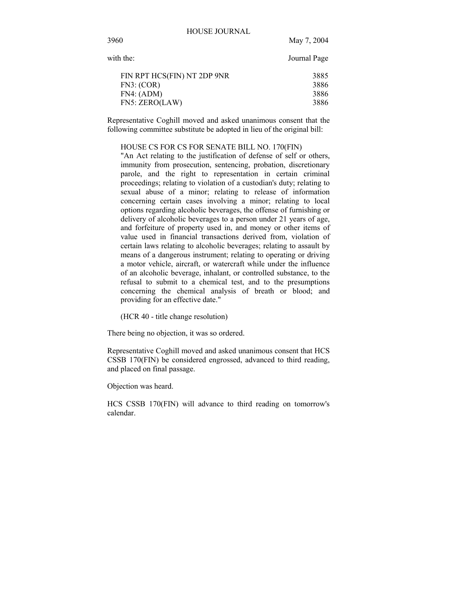| with the:                                                                 | Journal Page                 |
|---------------------------------------------------------------------------|------------------------------|
| FIN RPT HCS(FIN) NT 2DP 9NR<br>FN3: (COR)<br>FN4: (ADM)<br>FN5: ZERO(LAW) | 3885<br>3886<br>3886<br>3886 |
|                                                                           |                              |

Representative Coghill moved and asked unanimous consent that the following committee substitute be adopted in lieu of the original bill:

## HOUSE CS FOR CS FOR SENATE BILL NO. 170(FIN)

"An Act relating to the justification of defense of self or others, immunity from prosecution, sentencing, probation, discretionary parole, and the right to representation in certain criminal proceedings; relating to violation of a custodian's duty; relating to sexual abuse of a minor; relating to release of information concerning certain cases involving a minor; relating to local options regarding alcoholic beverages, the offense of furnishing or delivery of alcoholic beverages to a person under 21 years of age, and forfeiture of property used in, and money or other items of value used in financial transactions derived from, violation of certain laws relating to alcoholic beverages; relating to assault by means of a dangerous instrument; relating to operating or driving a motor vehicle, aircraft, or watercraft while under the influence of an alcoholic beverage, inhalant, or controlled substance, to the refusal to submit to a chemical test, and to the presumptions concerning the chemical analysis of breath or blood; and providing for an effective date."

(HCR 40 - title change resolution)

There being no objection, it was so ordered.

Representative Coghill moved and asked unanimous consent that HCS CSSB 170(FIN) be considered engrossed, advanced to third reading, and placed on final passage.

Objection was heard.

HCS CSSB 170(FIN) will advance to third reading on tomorrow's calendar.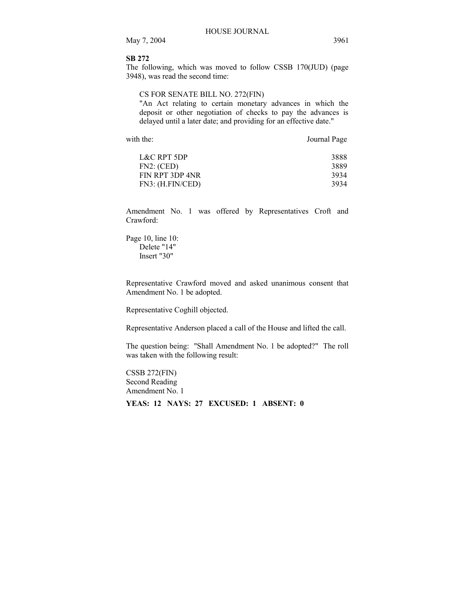## **SB 272**

The following, which was moved to follow CSSB 170(JUD) (page 3948), was read the second time:

## CS FOR SENATE BILL NO. 272(FIN)

"An Act relating to certain monetary advances in which the deposit or other negotiation of checks to pay the advances is delayed until a later date; and providing for an effective date."

with the: Journal Page

| L&C RPT 5DP      | 3888 |
|------------------|------|
| FN2: (CED)       | 3889 |
| FIN RPT 3DP 4NR  | 3934 |
| FN3: (H.FIN/CED) | 3934 |

Amendment No. 1 was offered by Representatives Croft and Crawford:

Page 10, line 10: Delete "14" Insert "30"

Representative Crawford moved and asked unanimous consent that Amendment No. 1 be adopted.

Representative Coghill objected.

Representative Anderson placed a call of the House and lifted the call.

The question being: "Shall Amendment No. 1 be adopted?" The roll was taken with the following result:

CSSB 272(FIN) Second Reading Amendment No. 1 **YEAS: 12 NAYS: 27 EXCUSED: 1 ABSENT: 0**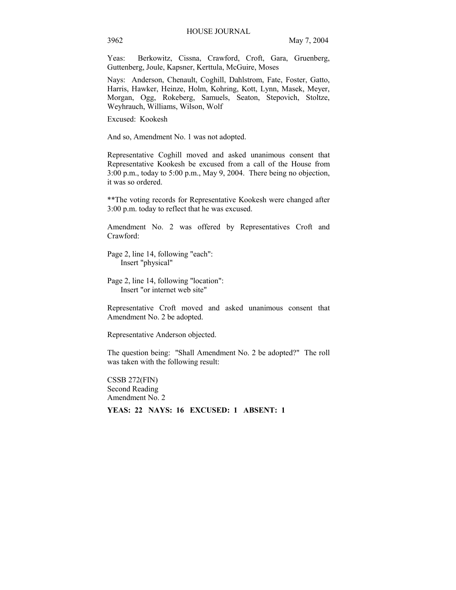Yeas: Berkowitz, Cissna, Crawford, Croft, Gara, Gruenberg, Guttenberg, Joule, Kapsner, Kerttula, McGuire, Moses

Nays: Anderson, Chenault, Coghill, Dahlstrom, Fate, Foster, Gatto, Harris, Hawker, Heinze, Holm, Kohring, Kott, Lynn, Masek, Meyer, Morgan, Ogg, Rokeberg, Samuels, Seaton, Stepovich, Stoltze, Weyhrauch, Williams, Wilson, Wolf

Excused: Kookesh

And so, Amendment No. 1 was not adopted.

Representative Coghill moved and asked unanimous consent that Representative Kookesh be excused from a call of the House from 3:00 p.m., today to 5:00 p.m., May 9, 2004. There being no objection, it was so ordered.

\*\*The voting records for Representative Kookesh were changed after 3:00 p.m. today to reflect that he was excused.

Amendment No. 2 was offered by Representatives Croft and Crawford:

Page 2, line 14, following "each": Insert "physical"

Page 2, line 14, following "location": Insert "or internet web site"

Representative Croft moved and asked unanimous consent that Amendment No. 2 be adopted.

Representative Anderson objected.

The question being: "Shall Amendment No. 2 be adopted?" The roll was taken with the following result:

CSSB 272(FIN) Second Reading Amendment No. 2

**YEAS: 22 NAYS: 16 EXCUSED: 1 ABSENT: 1**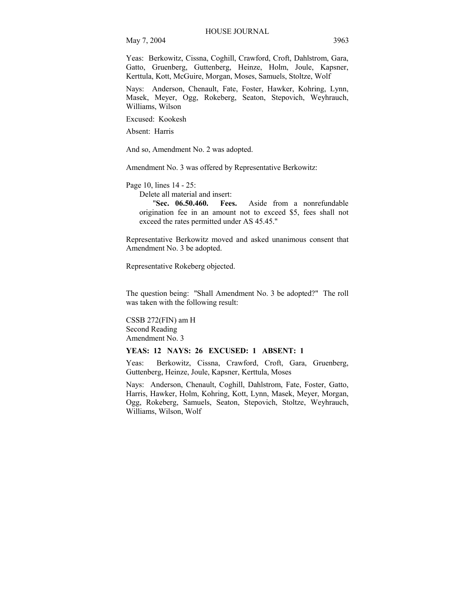Yeas: Berkowitz, Cissna, Coghill, Crawford, Croft, Dahlstrom, Gara, Gatto, Gruenberg, Guttenberg, Heinze, Holm, Joule, Kapsner, Kerttula, Kott, McGuire, Morgan, Moses, Samuels, Stoltze, Wolf

Nays: Anderson, Chenault, Fate, Foster, Hawker, Kohring, Lynn, Masek, Meyer, Ogg, Rokeberg, Seaton, Stepovich, Weyhrauch, Williams, Wilson

Excused: Kookesh

Absent: Harris

And so, Amendment No. 2 was adopted.

Amendment No. 3 was offered by Representative Berkowitz:

Page 10, lines 14 - 25:

Delete all material and insert:

"**Sec. 06.50.460. Fees.** Aside from a nonrefundable origination fee in an amount not to exceed \$5, fees shall not exceed the rates permitted under AS 45.45."

Representative Berkowitz moved and asked unanimous consent that Amendment No. 3 be adopted.

Representative Rokeberg objected.

The question being: "Shall Amendment No. 3 be adopted?" The roll was taken with the following result:

CSSB 272(FIN) am H Second Reading Amendment No. 3

#### **YEAS: 12 NAYS: 26 EXCUSED: 1 ABSENT: 1**

Yeas: Berkowitz, Cissna, Crawford, Croft, Gara, Gruenberg, Guttenberg, Heinze, Joule, Kapsner, Kerttula, Moses

Nays: Anderson, Chenault, Coghill, Dahlstrom, Fate, Foster, Gatto, Harris, Hawker, Holm, Kohring, Kott, Lynn, Masek, Meyer, Morgan, Ogg, Rokeberg, Samuels, Seaton, Stepovich, Stoltze, Weyhrauch, Williams, Wilson, Wolf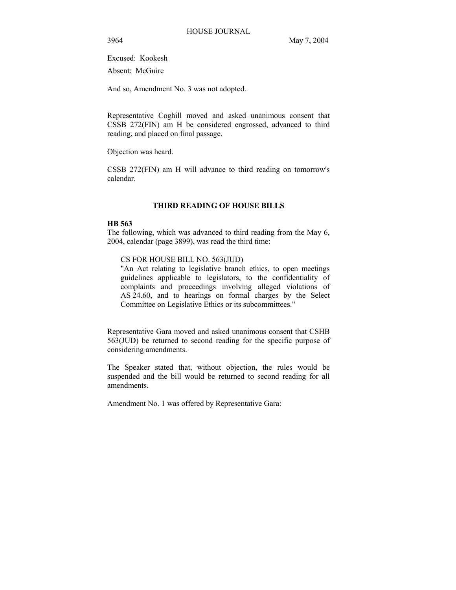Excused: Kookesh

Absent: McGuire

And so, Amendment No. 3 was not adopted.

Representative Coghill moved and asked unanimous consent that CSSB 272(FIN) am H be considered engrossed, advanced to third reading, and placed on final passage.

Objection was heard.

CSSB 272(FIN) am H will advance to third reading on tomorrow's calendar.

## **THIRD READING OF HOUSE BILLS**

#### **HB 563**

The following, which was advanced to third reading from the May 6, 2004, calendar (page 3899), was read the third time:

CS FOR HOUSE BILL NO. 563(JUD)

"An Act relating to legislative branch ethics, to open meetings guidelines applicable to legislators, to the confidentiality of complaints and proceedings involving alleged violations of AS 24.60, and to hearings on formal charges by the Select Committee on Legislative Ethics or its subcommittees."

Representative Gara moved and asked unanimous consent that CSHB 563(JUD) be returned to second reading for the specific purpose of considering amendments.

The Speaker stated that, without objection, the rules would be suspended and the bill would be returned to second reading for all amendments.

Amendment No. 1 was offered by Representative Gara: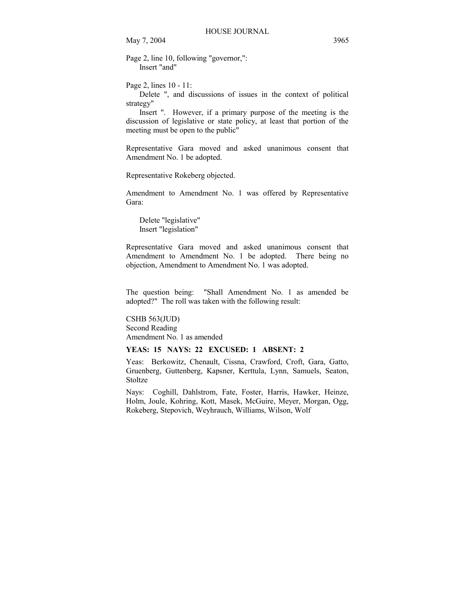Page 2, line 10, following "governor,": Insert "and"

Page 2, lines 10 - 11:

 Delete ", and discussions of issues in the context of political strategy"

 Insert ". However, if a primary purpose of the meeting is the discussion of legislative or state policy, at least that portion of the meeting must be open to the public"

Representative Gara moved and asked unanimous consent that Amendment No. 1 be adopted.

Representative Rokeberg objected.

Amendment to Amendment No. 1 was offered by Representative Gara:

 Delete "legislative" Insert "legislation"

Representative Gara moved and asked unanimous consent that Amendment to Amendment No. 1 be adopted. There being no objection, Amendment to Amendment No. 1 was adopted.

The question being: "Shall Amendment No. 1 as amended be adopted?" The roll was taken with the following result:

CSHB 563(JUD) Second Reading Amendment No. 1 as amended

## **YEAS: 15 NAYS: 22 EXCUSED: 1 ABSENT: 2**

Yeas: Berkowitz, Chenault, Cissna, Crawford, Croft, Gara, Gatto, Gruenberg, Guttenberg, Kapsner, Kerttula, Lynn, Samuels, Seaton, **Stoltze** 

Nays: Coghill, Dahlstrom, Fate, Foster, Harris, Hawker, Heinze, Holm, Joule, Kohring, Kott, Masek, McGuire, Meyer, Morgan, Ogg, Rokeberg, Stepovich, Weyhrauch, Williams, Wilson, Wolf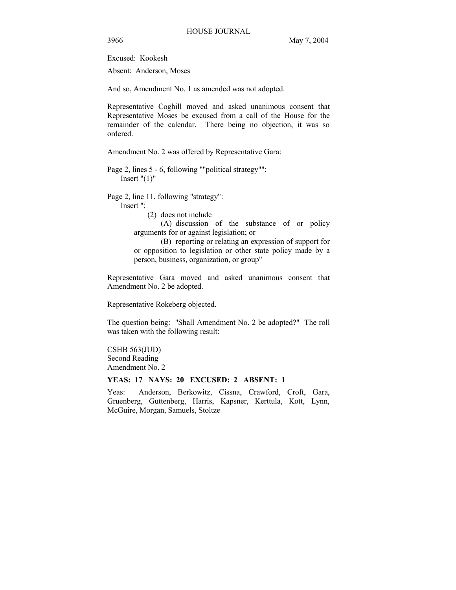Excused: Kookesh

Absent: Anderson, Moses

And so, Amendment No. 1 as amended was not adopted.

Representative Coghill moved and asked unanimous consent that Representative Moses be excused from a call of the House for the remainder of the calendar. There being no objection, it was so ordered.

Amendment No. 2 was offered by Representative Gara:

Page 2, lines 5 - 6, following ""political strategy"": Insert  $"(1)"$ 

Page 2, line 11, following "strategy":

Insert ";

(2) does not include

(A) discussion of the substance of or policy arguments for or against legislation; or

(B) reporting or relating an expression of support for or opposition to legislation or other state policy made by a person, business, organization, or group"

Representative Gara moved and asked unanimous consent that Amendment No. 2 be adopted.

Representative Rokeberg objected.

The question being: "Shall Amendment No. 2 be adopted?" The roll was taken with the following result:

CSHB 563(JUD) Second Reading Amendment No. 2

## **YEAS: 17 NAYS: 20 EXCUSED: 2 ABSENT: 1**

Yeas: Anderson, Berkowitz, Cissna, Crawford, Croft, Gara, Gruenberg, Guttenberg, Harris, Kapsner, Kerttula, Kott, Lynn, McGuire, Morgan, Samuels, Stoltze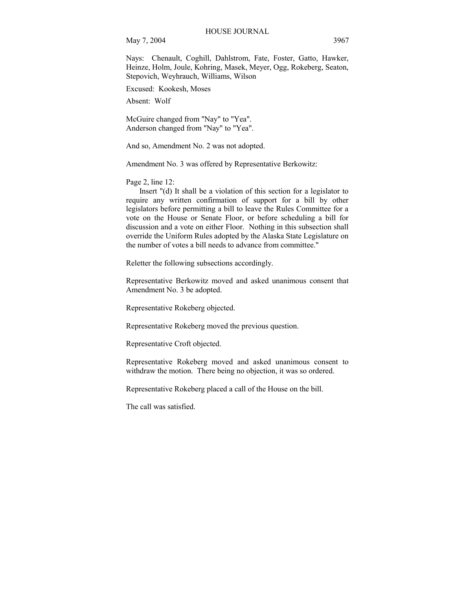Nays: Chenault, Coghill, Dahlstrom, Fate, Foster, Gatto, Hawker, Heinze, Holm, Joule, Kohring, Masek, Meyer, Ogg, Rokeberg, Seaton, Stepovich, Weyhrauch, Williams, Wilson

Excused: Kookesh, Moses

Absent: Wolf

McGuire changed from "Nay" to "Yea". Anderson changed from "Nay" to "Yea".

And so, Amendment No. 2 was not adopted.

Amendment No. 3 was offered by Representative Berkowitz:

Page 2, line 12:

 Insert "(d) It shall be a violation of this section for a legislator to require any written confirmation of support for a bill by other legislators before permitting a bill to leave the Rules Committee for a vote on the House or Senate Floor, or before scheduling a bill for discussion and a vote on either Floor. Nothing in this subsection shall override the Uniform Rules adopted by the Alaska State Legislature on the number of votes a bill needs to advance from committee."

Reletter the following subsections accordingly.

Representative Berkowitz moved and asked unanimous consent that Amendment No. 3 be adopted.

Representative Rokeberg objected.

Representative Rokeberg moved the previous question.

Representative Croft objected.

Representative Rokeberg moved and asked unanimous consent to withdraw the motion. There being no objection, it was so ordered.

Representative Rokeberg placed a call of the House on the bill.

The call was satisfied.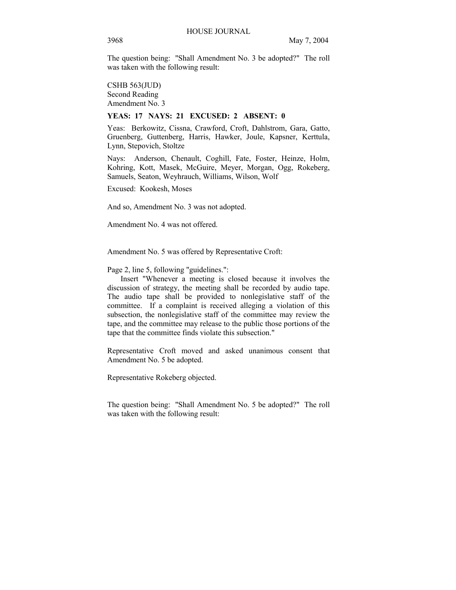The question being: "Shall Amendment No. 3 be adopted?" The roll was taken with the following result:

CSHB 563(JUD) Second Reading Amendment No. 3

## **YEAS: 17 NAYS: 21 EXCUSED: 2 ABSENT: 0**

Yeas: Berkowitz, Cissna, Crawford, Croft, Dahlstrom, Gara, Gatto, Gruenberg, Guttenberg, Harris, Hawker, Joule, Kapsner, Kerttula, Lynn, Stepovich, Stoltze

Nays: Anderson, Chenault, Coghill, Fate, Foster, Heinze, Holm, Kohring, Kott, Masek, McGuire, Meyer, Morgan, Ogg, Rokeberg, Samuels, Seaton, Weyhrauch, Williams, Wilson, Wolf

Excused: Kookesh, Moses

And so, Amendment No. 3 was not adopted.

Amendment No. 4 was not offered.

Amendment No. 5 was offered by Representative Croft:

Page 2, line 5, following "guidelines.":

 Insert "Whenever a meeting is closed because it involves the discussion of strategy, the meeting shall be recorded by audio tape. The audio tape shall be provided to nonlegislative staff of the committee. If a complaint is received alleging a violation of this subsection, the nonlegislative staff of the committee may review the tape, and the committee may release to the public those portions of the tape that the committee finds violate this subsection."

Representative Croft moved and asked unanimous consent that Amendment No. 5 be adopted.

Representative Rokeberg objected.

The question being: "Shall Amendment No. 5 be adopted?" The roll was taken with the following result: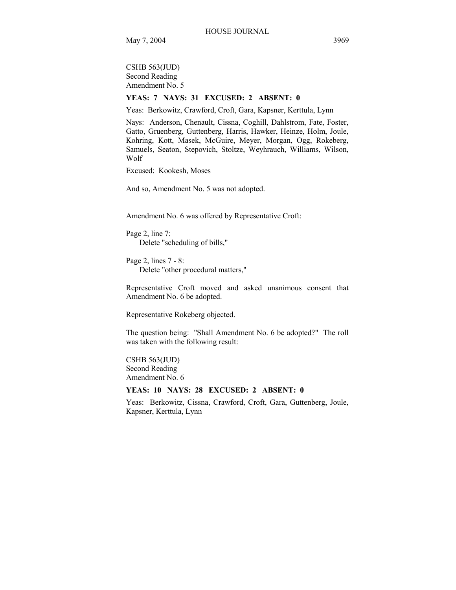CSHB 563(JUD) Second Reading Amendment No. 5

## **YEAS: 7 NAYS: 31 EXCUSED: 2 ABSENT: 0**

Yeas: Berkowitz, Crawford, Croft, Gara, Kapsner, Kerttula, Lynn

Nays: Anderson, Chenault, Cissna, Coghill, Dahlstrom, Fate, Foster, Gatto, Gruenberg, Guttenberg, Harris, Hawker, Heinze, Holm, Joule, Kohring, Kott, Masek, McGuire, Meyer, Morgan, Ogg, Rokeberg, Samuels, Seaton, Stepovich, Stoltze, Weyhrauch, Williams, Wilson, Wolf

Excused: Kookesh, Moses

And so, Amendment No. 5 was not adopted.

Amendment No. 6 was offered by Representative Croft:

Page 2, line 7: Delete "scheduling of bills,"

Page 2, lines 7 - 8: Delete "other procedural matters,"

Representative Croft moved and asked unanimous consent that Amendment No. 6 be adopted.

Representative Rokeberg objected.

The question being: "Shall Amendment No. 6 be adopted?" The roll was taken with the following result:

CSHB 563(JUD) Second Reading Amendment No. 6

## **YEAS: 10 NAYS: 28 EXCUSED: 2 ABSENT: 0**

Yeas: Berkowitz, Cissna, Crawford, Croft, Gara, Guttenberg, Joule, Kapsner, Kerttula, Lynn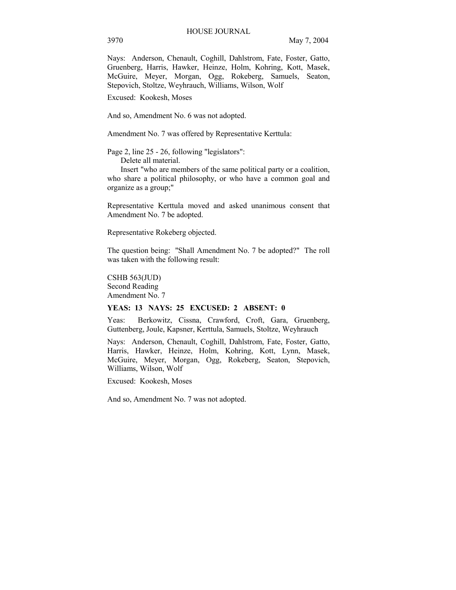Nays: Anderson, Chenault, Coghill, Dahlstrom, Fate, Foster, Gatto, Gruenberg, Harris, Hawker, Heinze, Holm, Kohring, Kott, Masek, McGuire, Meyer, Morgan, Ogg, Rokeberg, Samuels, Seaton, Stepovich, Stoltze, Weyhrauch, Williams, Wilson, Wolf

Excused: Kookesh, Moses

And so, Amendment No. 6 was not adopted.

Amendment No. 7 was offered by Representative Kerttula:

Page 2, line 25 - 26, following "legislators":

Delete all material.

 Insert "who are members of the same political party or a coalition, who share a political philosophy, or who have a common goal and organize as a group;"

Representative Kerttula moved and asked unanimous consent that Amendment No. 7 be adopted.

Representative Rokeberg objected.

The question being: "Shall Amendment No. 7 be adopted?" The roll was taken with the following result:

CSHB 563(JUD) Second Reading Amendment No. 7

#### **YEAS: 13 NAYS: 25 EXCUSED: 2 ABSENT: 0**

Yeas: Berkowitz, Cissna, Crawford, Croft, Gara, Gruenberg, Guttenberg, Joule, Kapsner, Kerttula, Samuels, Stoltze, Weyhrauch

Nays: Anderson, Chenault, Coghill, Dahlstrom, Fate, Foster, Gatto, Harris, Hawker, Heinze, Holm, Kohring, Kott, Lynn, Masek, McGuire, Meyer, Morgan, Ogg, Rokeberg, Seaton, Stepovich, Williams, Wilson, Wolf

Excused: Kookesh, Moses

And so, Amendment No. 7 was not adopted.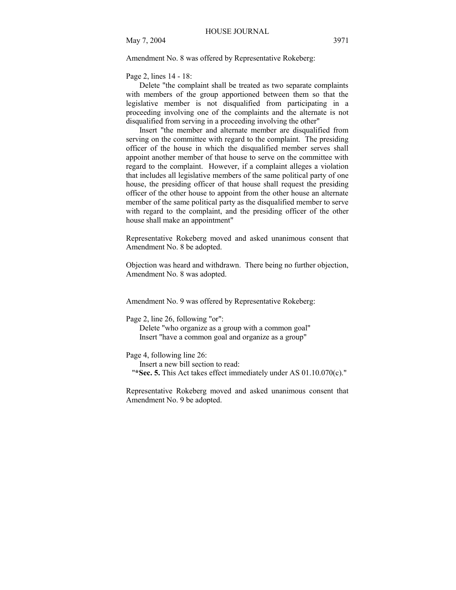Amendment No. 8 was offered by Representative Rokeberg:

Page 2, lines 14 - 18:

 Delete "the complaint shall be treated as two separate complaints with members of the group apportioned between them so that the legislative member is not disqualified from participating in a proceeding involving one of the complaints and the alternate is not disqualified from serving in a proceeding involving the other"

 Insert "the member and alternate member are disqualified from serving on the committee with regard to the complaint. The presiding officer of the house in which the disqualified member serves shall appoint another member of that house to serve on the committee with regard to the complaint. However, if a complaint alleges a violation that includes all legislative members of the same political party of one house, the presiding officer of that house shall request the presiding officer of the other house to appoint from the other house an alternate member of the same political party as the disqualified member to serve with regard to the complaint, and the presiding officer of the other house shall make an appointment"

Representative Rokeberg moved and asked unanimous consent that Amendment No. 8 be adopted.

Objection was heard and withdrawn. There being no further objection, Amendment No. 8 was adopted.

Amendment No. 9 was offered by Representative Rokeberg:

Page 2, line 26, following "or":

 Delete "who organize as a group with a common goal" Insert "have a common goal and organize as a group"

Page 4, following line 26:

Insert a new bill section to read:

"**\*Sec. 5.** This Act takes effect immediately under AS 01.10.070(c)."

Representative Rokeberg moved and asked unanimous consent that Amendment No. 9 be adopted.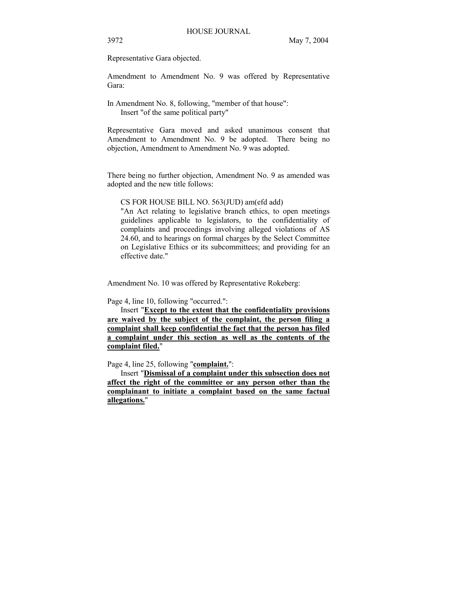Representative Gara objected.

Amendment to Amendment No. 9 was offered by Representative Gara:

In Amendment No. 8, following, "member of that house": Insert "of the same political party"

Representative Gara moved and asked unanimous consent that Amendment to Amendment No. 9 be adopted. There being no objection, Amendment to Amendment No. 9 was adopted.

There being no further objection, Amendment No. 9 as amended was adopted and the new title follows:

CS FOR HOUSE BILL NO. 563(JUD) am(efd add)

"An Act relating to legislative branch ethics, to open meetings guidelines applicable to legislators, to the confidentiality of complaints and proceedings involving alleged violations of AS 24.60, and to hearings on formal charges by the Select Committee on Legislative Ethics or its subcommittees; and providing for an effective date."

Amendment No. 10 was offered by Representative Rokeberg:

Page 4, line 10, following "occurred.":

 Insert "**Except to the extent that the confidentiality provisions are waived by the subject of the complaint, the person filing a complaint shall keep confidential the fact that the person has filed a complaint under this section as well as the contents of the complaint filed.**"

Page 4, line 25, following "**complaint.**":

 Insert "**Dismissal of a complaint under this subsection does not affect the right of the committee or any person other than the complainant to initiate a complaint based on the same factual allegations.**"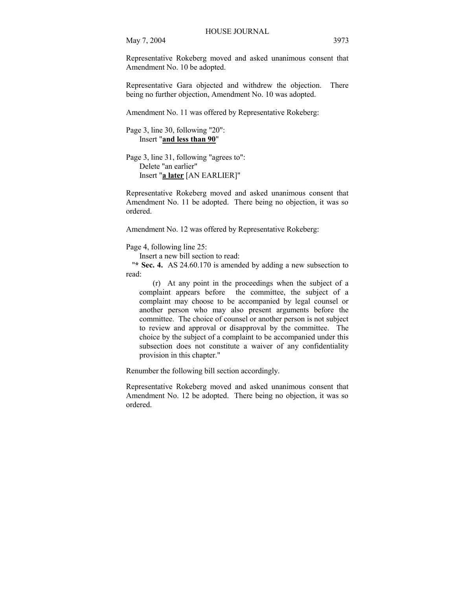Representative Rokeberg moved and asked unanimous consent that Amendment No. 10 be adopted.

Representative Gara objected and withdrew the objection. There being no further objection, Amendment No. 10 was adopted.

Amendment No. 11 was offered by Representative Rokeberg:

Page 3, line 30, following "20": Insert "**and less than 90**"

Page 3, line 31, following "agrees to": Delete "an earlier" Insert "**a later** [AN EARLIER]"

Representative Rokeberg moved and asked unanimous consent that Amendment No. 11 be adopted. There being no objection, it was so ordered.

Amendment No. 12 was offered by Representative Rokeberg:

Page 4, following line 25:

Insert a new bill section to read:

"**\* Sec. 4.** AS 24.60.170 is amended by adding a new subsection to read:

(r) At any point in the proceedings when the subject of a complaint appears before the committee, the subject of a complaint may choose to be accompanied by legal counsel or another person who may also present arguments before the committee. The choice of counsel or another person is not subject to review and approval or disapproval by the committee. The choice by the subject of a complaint to be accompanied under this subsection does not constitute a waiver of any confidentiality provision in this chapter."

Renumber the following bill section accordingly.

Representative Rokeberg moved and asked unanimous consent that Amendment No. 12 be adopted. There being no objection, it was so ordered.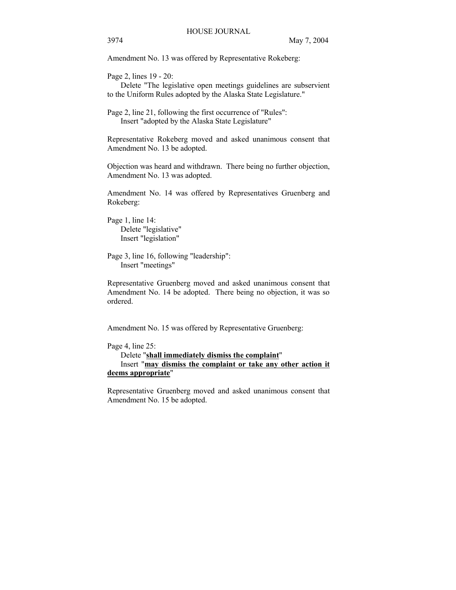Amendment No. 13 was offered by Representative Rokeberg:

Page 2, lines 19 - 20:

 Delete "The legislative open meetings guidelines are subservient to the Uniform Rules adopted by the Alaska State Legislature."

Page 2, line 21, following the first occurrence of "Rules": Insert "adopted by the Alaska State Legislature"

Representative Rokeberg moved and asked unanimous consent that Amendment No. 13 be adopted.

Objection was heard and withdrawn. There being no further objection, Amendment No. 13 was adopted.

Amendment No. 14 was offered by Representatives Gruenberg and Rokeberg:

Page 1, line 14: Delete "legislative" Insert "legislation"

Page 3, line 16, following "leadership": Insert "meetings"

Representative Gruenberg moved and asked unanimous consent that Amendment No. 14 be adopted. There being no objection, it was so ordered.

Amendment No. 15 was offered by Representative Gruenberg:

Page 4, line 25:

 Delete "**shall immediately dismiss the complaint**" Insert "**may dismiss the complaint or take any other action it deems appropriate**"

Representative Gruenberg moved and asked unanimous consent that Amendment No. 15 be adopted.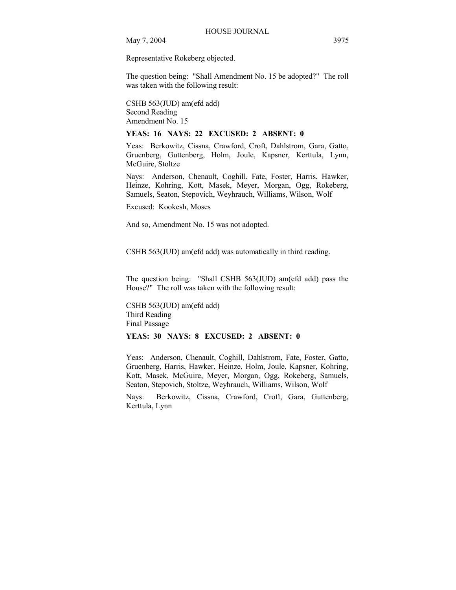Representative Rokeberg objected.

The question being: "Shall Amendment No. 15 be adopted?" The roll was taken with the following result:

CSHB 563(JUD) am(efd add) Second Reading Amendment No. 15

**YEAS: 16 NAYS: 22 EXCUSED: 2 ABSENT: 0** 

Yeas: Berkowitz, Cissna, Crawford, Croft, Dahlstrom, Gara, Gatto, Gruenberg, Guttenberg, Holm, Joule, Kapsner, Kerttula, Lynn, McGuire, Stoltze

Nays: Anderson, Chenault, Coghill, Fate, Foster, Harris, Hawker, Heinze, Kohring, Kott, Masek, Meyer, Morgan, Ogg, Rokeberg, Samuels, Seaton, Stepovich, Weyhrauch, Williams, Wilson, Wolf

Excused: Kookesh, Moses

And so, Amendment No. 15 was not adopted.

CSHB 563(JUD) am(efd add) was automatically in third reading.

The question being: "Shall CSHB 563(JUD) am(efd add) pass the House?" The roll was taken with the following result:

CSHB 563(JUD) am(efd add) Third Reading Final Passage

## **YEAS: 30 NAYS: 8 EXCUSED: 2 ABSENT: 0**

Yeas: Anderson, Chenault, Coghill, Dahlstrom, Fate, Foster, Gatto, Gruenberg, Harris, Hawker, Heinze, Holm, Joule, Kapsner, Kohring, Kott, Masek, McGuire, Meyer, Morgan, Ogg, Rokeberg, Samuels, Seaton, Stepovich, Stoltze, Weyhrauch, Williams, Wilson, Wolf

Nays: Berkowitz, Cissna, Crawford, Croft, Gara, Guttenberg, Kerttula, Lynn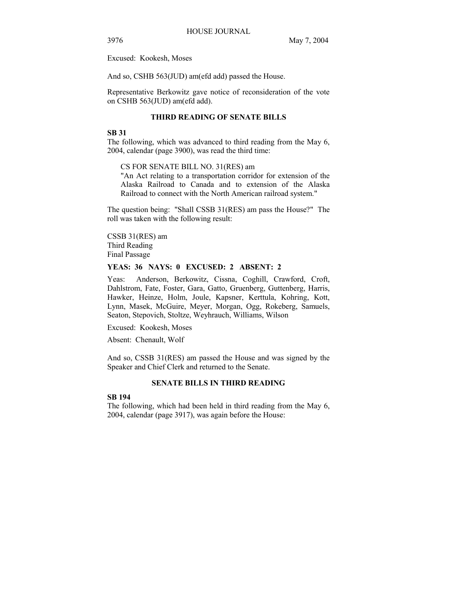Excused: Kookesh, Moses

And so, CSHB 563(JUD) am(efd add) passed the House.

Representative Berkowitz gave notice of reconsideration of the vote on CSHB 563(JUD) am(efd add).

## **THIRD READING OF SENATE BILLS**

#### **SB 31**

The following, which was advanced to third reading from the May 6, 2004, calendar (page 3900), was read the third time:

CS FOR SENATE BILL NO. 31(RES) am

"An Act relating to a transportation corridor for extension of the Alaska Railroad to Canada and to extension of the Alaska Railroad to connect with the North American railroad system."

The question being: "Shall CSSB 31(RES) am pass the House?" The roll was taken with the following result:

CSSB 31(RES) am Third Reading Final Passage

## **YEAS: 36 NAYS: 0 EXCUSED: 2 ABSENT: 2**

Yeas: Anderson, Berkowitz, Cissna, Coghill, Crawford, Croft, Dahlstrom, Fate, Foster, Gara, Gatto, Gruenberg, Guttenberg, Harris, Hawker, Heinze, Holm, Joule, Kapsner, Kerttula, Kohring, Kott, Lynn, Masek, McGuire, Meyer, Morgan, Ogg, Rokeberg, Samuels, Seaton, Stepovich, Stoltze, Weyhrauch, Williams, Wilson

Excused: Kookesh, Moses

Absent: Chenault, Wolf

And so, CSSB 31(RES) am passed the House and was signed by the Speaker and Chief Clerk and returned to the Senate.

#### **SENATE BILLS IN THIRD READING**

## **SB 194**

The following, which had been held in third reading from the May 6, 2004, calendar (page 3917), was again before the House: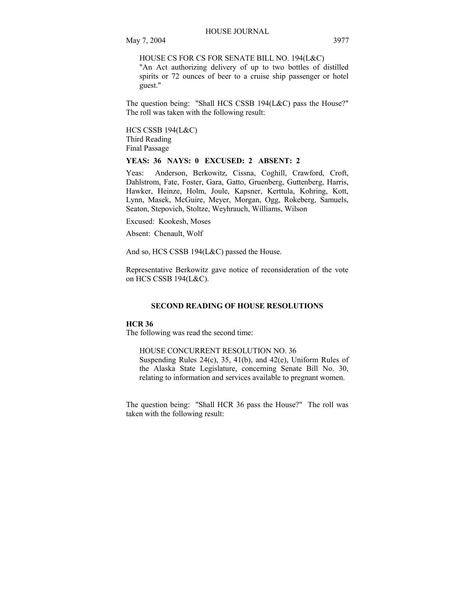HOUSE CS FOR CS FOR SENATE BILL NO. 194(L&C)

"An Act authorizing delivery of up to two bottles of distilled spirits or 72 ounces of beer to a cruise ship passenger or hotel guest."

The question being: "Shall HCS CSSB 194(L&C) pass the House?" The roll was taken with the following result:

HCS CSSB 194(L&C) Third Reading Final Passage

## **YEAS: 36 NAYS: 0 EXCUSED: 2 ABSENT: 2**

Yeas: Anderson, Berkowitz, Cissna, Coghill, Crawford, Croft, Dahlstrom, Fate, Foster, Gara, Gatto, Gruenberg, Guttenberg, Harris, Hawker, Heinze, Holm, Joule, Kapsner, Kerttula, Kohring, Kott, Lynn, Masek, McGuire, Meyer, Morgan, Ogg, Rokeberg, Samuels, Seaton, Stepovich, Stoltze, Weyhrauch, Williams, Wilson

Excused: Kookesh, Moses

Absent: Chenault, Wolf

And so, HCS CSSB 194(L&C) passed the House.

Representative Berkowitz gave notice of reconsideration of the vote on HCS CSSB 194(L&C).

## **SECOND READING OF HOUSE RESOLUTIONS**

## **HCR 36**

The following was read the second time:

HOUSE CONCURRENT RESOLUTION NO. 36

Suspending Rules 24(c), 35, 41(b), and 42(e), Uniform Rules of the Alaska State Legislature, concerning Senate Bill No. 30, relating to information and services available to pregnant women.

The question being: "Shall HCR 36 pass the House?" The roll was taken with the following result: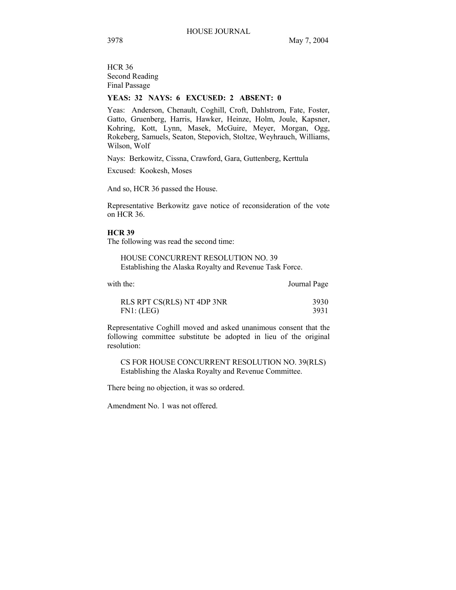HCR 36 Second Reading Final Passage

# **YEAS: 32 NAYS: 6 EXCUSED: 2 ABSENT: 0**

Yeas: Anderson, Chenault, Coghill, Croft, Dahlstrom, Fate, Foster, Gatto, Gruenberg, Harris, Hawker, Heinze, Holm, Joule, Kapsner, Kohring, Kott, Lynn, Masek, McGuire, Meyer, Morgan, Ogg, Rokeberg, Samuels, Seaton, Stepovich, Stoltze, Weyhrauch, Williams, Wilson, Wolf

Nays: Berkowitz, Cissna, Crawford, Gara, Guttenberg, Kerttula

Excused: Kookesh, Moses

And so, HCR 36 passed the House.

Representative Berkowitz gave notice of reconsideration of the vote on HCR 36.

#### **HCR 39**

The following was read the second time:

HOUSE CONCURRENT RESOLUTION NO. 39 Establishing the Alaska Royalty and Revenue Task Force.

with the: Journal Page

| RLS RPT CS(RLS) NT 4DP 3NR | 3930 |
|----------------------------|------|
| FN1: (LEG)                 | 3931 |

Representative Coghill moved and asked unanimous consent that the following committee substitute be adopted in lieu of the original resolution:

CS FOR HOUSE CONCURRENT RESOLUTION NO. 39(RLS) Establishing the Alaska Royalty and Revenue Committee.

There being no objection, it was so ordered.

Amendment No. 1 was not offered.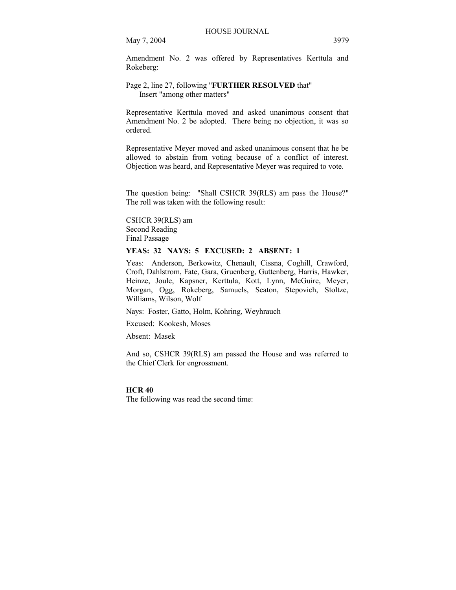Amendment No. 2 was offered by Representatives Kerttula and Rokeberg:

## Page 2, line 27, following "**FURTHER RESOLVED** that" Insert "among other matters"

Representative Kerttula moved and asked unanimous consent that Amendment No. 2 be adopted. There being no objection, it was so ordered.

Representative Meyer moved and asked unanimous consent that he be allowed to abstain from voting because of a conflict of interest. Objection was heard, and Representative Meyer was required to vote.

The question being: "Shall CSHCR 39(RLS) am pass the House?" The roll was taken with the following result:

CSHCR 39(RLS) am Second Reading Final Passage

## **YEAS: 32 NAYS: 5 EXCUSED: 2 ABSENT: 1**

Yeas: Anderson, Berkowitz, Chenault, Cissna, Coghill, Crawford, Croft, Dahlstrom, Fate, Gara, Gruenberg, Guttenberg, Harris, Hawker, Heinze, Joule, Kapsner, Kerttula, Kott, Lynn, McGuire, Meyer, Morgan, Ogg, Rokeberg, Samuels, Seaton, Stepovich, Stoltze, Williams, Wilson, Wolf

Nays: Foster, Gatto, Holm, Kohring, Weyhrauch

Excused: Kookesh, Moses

Absent: Masek

And so, CSHCR 39(RLS) am passed the House and was referred to the Chief Clerk for engrossment.

#### **HCR 40**

The following was read the second time: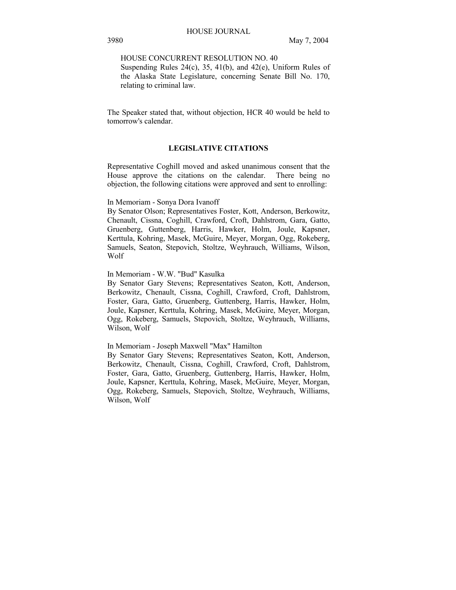HOUSE CONCURRENT RESOLUTION NO. 40

Suspending Rules  $24(c)$ ,  $35$ ,  $41(b)$ , and  $42(e)$ , Uniform Rules of the Alaska State Legislature, concerning Senate Bill No. 170, relating to criminal law.

The Speaker stated that, without objection, HCR 40 would be held to tomorrow's calendar.

# **LEGISLATIVE CITATIONS**

Representative Coghill moved and asked unanimous consent that the House approve the citations on the calendar. There being no objection, the following citations were approved and sent to enrolling:

#### In Memoriam - Sonya Dora Ivanoff

By Senator Olson; Representatives Foster, Kott, Anderson, Berkowitz, Chenault, Cissna, Coghill, Crawford, Croft, Dahlstrom, Gara, Gatto, Gruenberg, Guttenberg, Harris, Hawker, Holm, Joule, Kapsner, Kerttula, Kohring, Masek, McGuire, Meyer, Morgan, Ogg, Rokeberg, Samuels, Seaton, Stepovich, Stoltze, Weyhrauch, Williams, Wilson, Wolf

#### In Memoriam - W.W. "Bud" Kasulka

By Senator Gary Stevens; Representatives Seaton, Kott, Anderson, Berkowitz, Chenault, Cissna, Coghill, Crawford, Croft, Dahlstrom, Foster, Gara, Gatto, Gruenberg, Guttenberg, Harris, Hawker, Holm, Joule, Kapsner, Kerttula, Kohring, Masek, McGuire, Meyer, Morgan, Ogg, Rokeberg, Samuels, Stepovich, Stoltze, Weyhrauch, Williams, Wilson, Wolf

## In Memoriam - Joseph Maxwell "Max" Hamilton

By Senator Gary Stevens; Representatives Seaton, Kott, Anderson, Berkowitz, Chenault, Cissna, Coghill, Crawford, Croft, Dahlstrom, Foster, Gara, Gatto, Gruenberg, Guttenberg, Harris, Hawker, Holm, Joule, Kapsner, Kerttula, Kohring, Masek, McGuire, Meyer, Morgan, Ogg, Rokeberg, Samuels, Stepovich, Stoltze, Weyhrauch, Williams, Wilson, Wolf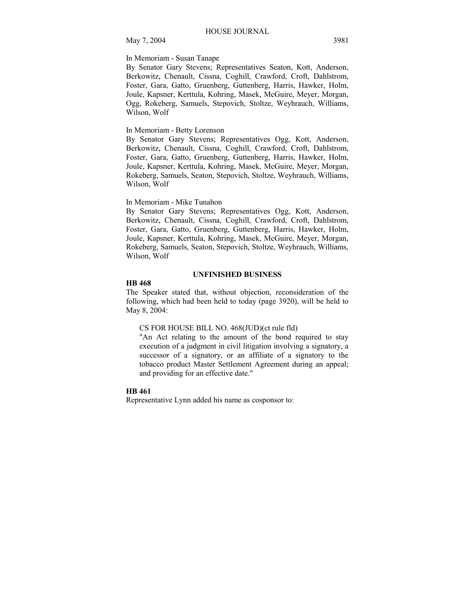## In Memoriam - Susan Tanape

By Senator Gary Stevens; Representatives Seaton, Kott, Anderson, Berkowitz, Chenault, Cissna, Coghill, Crawford, Croft, Dahlstrom, Foster, Gara, Gatto, Gruenberg, Guttenberg, Harris, Hawker, Holm, Joule, Kapsner, Kerttula, Kohring, Masek, McGuire, Meyer, Morgan, Ogg, Rokeberg, Samuels, Stepovich, Stoltze, Weyhrauch, Williams, Wilson, Wolf

## In Memoriam - Betty Lorenson

By Senator Gary Stevens; Representatives Ogg, Kott, Anderson, Berkowitz, Chenault, Cissna, Coghill, Crawford, Croft, Dahlstrom, Foster, Gara, Gatto, Gruenberg, Guttenberg, Harris, Hawker, Holm, Joule, Kapsner, Kerttula, Kohring, Masek, McGuire, Meyer, Morgan, Rokeberg, Samuels, Seaton, Stepovich, Stoltze, Weyhrauch, Williams, Wilson, Wolf

## In Memoriam - Mike Tunahon

By Senator Gary Stevens; Representatives Ogg, Kott, Anderson, Berkowitz, Chenault, Cissna, Coghill, Crawford, Croft, Dahlstrom, Foster, Gara, Gatto, Gruenberg, Guttenberg, Harris, Hawker, Holm, Joule, Kapsner, Kerttula, Kohring, Masek, McGuire, Meyer, Morgan, Rokeberg, Samuels, Seaton, Stepovich, Stoltze, Weyhrauch, Williams, Wilson, Wolf

#### **UNFINISHED BUSINESS**

#### **HB 468**

The Speaker stated that, without objection, reconsideration of the following, which had been held to today (page 3920), will be held to May 8, 2004:

## CS FOR HOUSE BILL NO. 468(JUD)(ct rule fld)

"An Act relating to the amount of the bond required to stay execution of a judgment in civil litigation involving a signatory, a successor of a signatory, or an affiliate of a signatory to the tobacco product Master Settlement Agreement during an appeal; and providing for an effective date."

#### **HB 461**

Representative Lynn added his name as cosponsor to: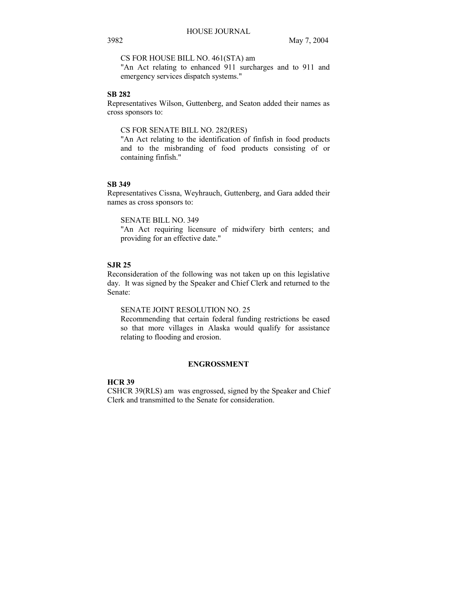CS FOR HOUSE BILL NO. 461(STA) am

"An Act relating to enhanced 911 surcharges and to 911 and emergency services dispatch systems."

## **SB 282**

Representatives Wilson, Guttenberg, and Seaton added their names as cross sponsors to:

## CS FOR SENATE BILL NO. 282(RES)

"An Act relating to the identification of finfish in food products and to the misbranding of food products consisting of or containing finfish."

## **SB 349**

Representatives Cissna, Weyhrauch, Guttenberg, and Gara added their names as cross sponsors to:

SENATE BILL NO. 349

"An Act requiring licensure of midwifery birth centers; and providing for an effective date."

## **SJR 25**

Reconsideration of the following was not taken up on this legislative day. It was signed by the Speaker and Chief Clerk and returned to the Senate:

# SENATE JOINT RESOLUTION NO. 25

Recommending that certain federal funding restrictions be eased so that more villages in Alaska would qualify for assistance relating to flooding and erosion.

#### **ENGROSSMENT**

## **HCR 39**

CSHCR 39(RLS) am was engrossed, signed by the Speaker and Chief Clerk and transmitted to the Senate for consideration.